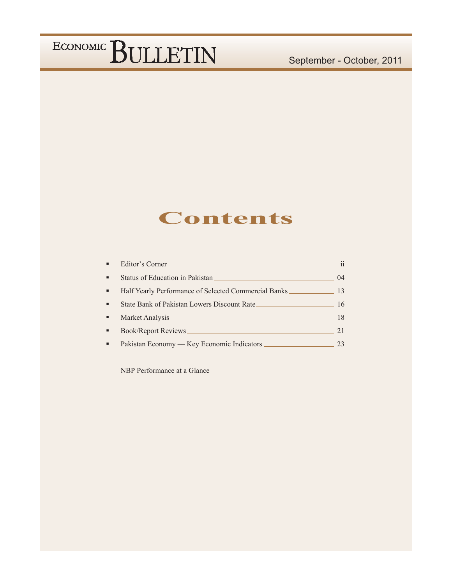### **Contents**

| ٠              | Editor's Corner                                      | 11 |
|----------------|------------------------------------------------------|----|
| $\blacksquare$ | Status of Education in Pakistan                      | 04 |
| ٠              | Half Yearly Performance of Selected Commercial Banks | 13 |
| ٠              | State Bank of Pakistan Lowers Discount Rate          | 16 |
| ٠              |                                                      | 18 |
| ٠              | Book/Report Reviews                                  | 21 |
| ٠              |                                                      | 23 |

NBP Performance at a Glance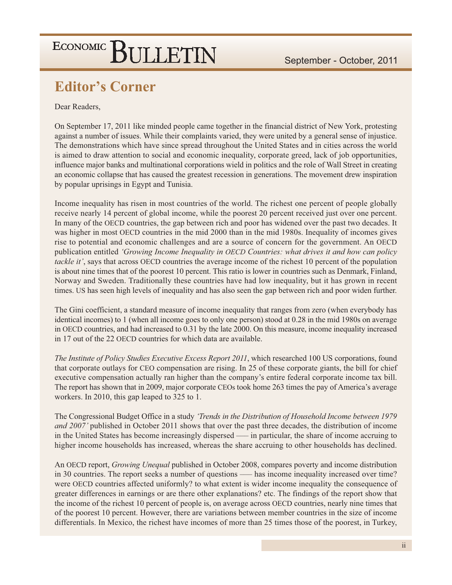### **Editor's Corner**

Dear Readers,

On September 17, 2011 like minded people came together in the financial district of New York, protesting against a number of issues. While their complaints varied, they were united by a general sense of injustice. The demonstrations which have since spread throughout the United States and in cities across the world is aimed to draw attention to social and economic inequality, corporate greed, lack of job opportunities, influence major banks and multinational corporations wield in politics and the role of Wall Street in creating an economic collapse that has caused the greatest recession in generations. The movement drew inspiration by popular uprisings in Egypt and Tunisia.

Income inequality has risen in most countries of the world. The richest one percent of people globally receive nearly 14 percent of global income, while the poorest 20 percent received just over one percent. In many of the OECD countries, the gap between rich and poor has widened over the past two decades. It was higher in most OECD countries in the mid 2000 than in the mid 1980s. Inequality of incomes gives rise to potential and economic challenges and are a source of concern for the government. An OECD publication entitled 'Growing Income Inequality in OECD Countries: what drives it and how can policy *tackle it'*, says that across OECD countries the average income of the richest 10 percent of the population is about nine times that of the poorest 10 percent. This ratio is lower in countries such as Denmark, Finland, Norway and Sweden. Traditionally these countries have had low inequality, but it has grown in recent times. US has seen high levels of inequality and has also seen the gap between rich and poor widen further.

The Gini coefficient, a standard measure of income inequality that ranges from zero (when everybody has identical incomes) to 1 (when all income goes to only one person) stood at 0.28 in the mid 1980s on average in OECD countries, and had increased to 0.31 by the late 2000. On this measure, income inequality increased in 17 out of the 22 OECD countries for which data are available.

The Institute of Policy Studies Executive Excess Report 2011, which researched 100 US corporations, found that corporate outlays for CEO compensation are rising. In 25 of these corporate giants, the bill for chief executive compensation actually ran higher than the company's entire federal corporate income tax bill. The report has shown that in 2009, major corporate CEOs took home 263 times the pay of America's average workers. In 2010, this gap leaped to 325 to 1.

The Congressional Budget Office in a study 'Trends in the Distribution of Household Income between 1979 and 2007' published in October 2011 shows that over the past three decades, the distribution of income in the United States has become increasingly dispersed — in particular, the share of income accruing to higher income households has increased, whereas the share accruing to other households has declined.

An OECD report, *Growing Unequal* published in October 2008, compares poverty and income distribution in 30 countries. The report seeks a number of questions — has income inequality increased over time? were OECD countries affected uniformly? to what extent is wider income inequality the consequence of greater differences in earnings or are there other explanations? etc. The findings of the report show that the income of the richest 10 percent of people is, on average across OECD countries, nearly nine times that of the poorest 10 percent. However, there are variations between member countries in the size of income differentials. In Mexico, the richest have incomes of more than 25 times those of the poorest, in Turkey,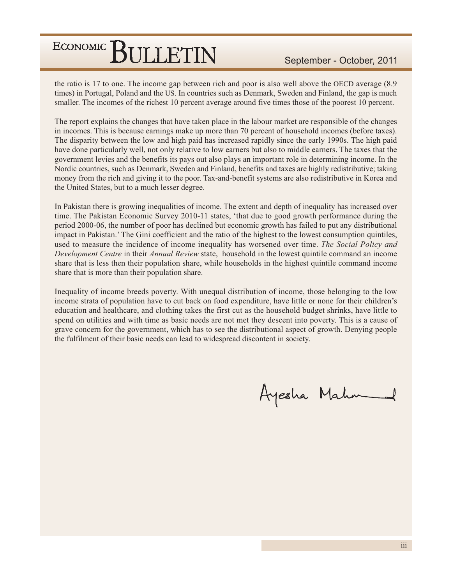the ratio is 17 to one. The income gap between rich and poor is also well above the OECD average (8.9) times) in Portugal, Poland and the US. In countries such as Denmark, Sweden and Finland, the gap is much smaller. The incomes of the richest 10 percent average around five times those of the poorest 10 percent.

The report explains the changes that have taken place in the labour market are responsible of the changes in incomes. This is because earnings make up more than 70 percent of household incomes (before taxes). The disparity between the low and high paid has increased rapidly since the early 1990s. The high paid have done particularly well, not only relative to low earners but also to middle earners. The taxes that the government levies and the benefits its pays out also plays an important role in determining income. In the Nordic countries, such as Denmark, Sweden and Finland, benefits and taxes are highly redistributive; taking money from the rich and giving it to the poor. Tax-and-benefit systems are also redistributive in Korea and the United States, but to a much lesser degree.

In Pakistan there is growing inequalities of income. The extent and depth of inequality has increased over time. The Pakistan Economic Survey 2010-11 states, 'that due to good growth performance during the period 2000-06, the number of poor has declined but economic growth has failed to put any distributional impact in Pakistan.' The Gini coefficient and the ratio of the highest to the lowest consumption quintiles, used to measure the incidence of income inequality has worsened over time. The Social Policy and Development Centre in their Annual Review state, household in the lowest quintile command an income share that is less then their population share, while households in the highest quintile command income share that is more than their population share.

Inequality of income breeds poverty. With unequal distribution of income, those belonging to the low income strata of population have to cut back on food expenditure, have little or none for their children's education and healthcare, and clothing takes the first cut as the household budget shrinks, have little to spend on utilities and with time as basic needs are not met they descent into poverty. This is a cause of grave concern for the government, which has to see the distributional aspect of growth. Denying people the fulfilment of their basic needs can lead to widespread discontent in society.

Ayesha Mahn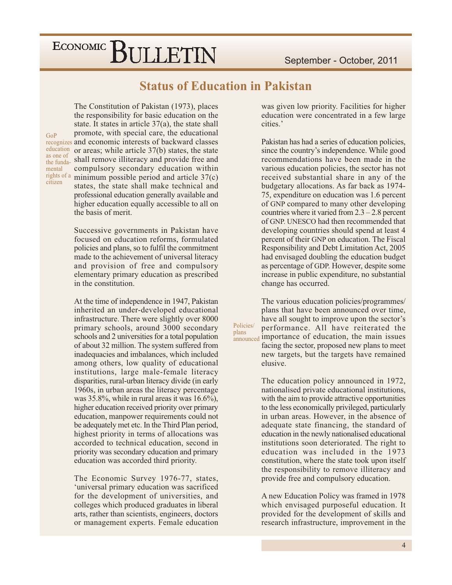### **Status of Education in Pakistan**

Policies/

plans

GoP education as one of mental rights of a citizen

The Constitution of Pakistan (1973), places the responsibility for basic education on the state. It states in article  $37(a)$ , the state shall promote, with special care, the educational recognizes and economic interests of backward classes or areas; while article 37(b) states, the state the funda- shall remove illiteracy and provide free and compulsory secondary education within minimum possible period and article  $37(c)$ states, the state shall make technical and professional education generally available and higher education equally accessible to all on the basis of merit.

> Successive governments in Pakistan have focused on education reforms, formulated policies and plans, so to fulfil the commitment made to the achievement of universal literacy and provision of free and compulsory elementary primary education as prescribed in the constitution

> At the time of independence in 1947, Pakistan inherited an under-developed educational infrastructure. There were slightly over 8000 primary schools, around 3000 secondary schools and 2 universities for a total population of about 32 million. The system suffered from inadequacies and imbalances, which included among others, low quality of educational institutions, large male-female literacy disparities, rural-urban literacy divide (in early 1960s, in urban areas the literacy percentage was  $35.8\%$ , while in rural areas it was  $16.6\%$ ), higher education received priority over primary education, manpower requirements could not be adequately met etc. In the Third Plan period, highest priority in terms of allocations was accorded to technical education, second in priority was secondary education and primary education was accorded third priority.

> The Economic Survey 1976-77, states, 'universal primary education was sacrificed for the development of universities, and colleges which produced graduates in liberal arts, rather than scientists, engineers, doctors or management experts. Female education

was given low priority. Facilities for higher education were concentrated in a few large cities.'

Pakistan has had a series of education policies, since the country's independence. While good recommendations have been made in the various education policies, the sector has not received substantial share in any of the budgetary allocations. As far back as 1974-75, expenditure on education was 1.6 percent of GNP compared to many other developing countries where it varied from  $2.3 - 2.8$  percent of GNP. UNESCO had then recommended that developing countries should spend at least 4 percent of their GNP on education. The Fiscal Responsibility and Debt Limitation Act, 2005 had envisaged doubling the education budget as percentage of GDP. However, despite some increase in public expenditure, no substantial change has occurred.

The various education policies/programmes/ plans that have been announced over time, have all sought to improve upon the sector's performance. All have reiterated the announced importance of education, the main issues facing the sector, proposed new plans to meet new targets, but the targets have remained elusive.

> The education policy announced in 1972, nationalised private educational institutions, with the aim to provide attractive opportunities to the less economically privileged, particularly in urban areas. However, in the absence of adequate state financing, the standard of education in the newly nationalised educational institutions soon deteriorated. The right to education was included in the 1973 constitution, where the state took upon itself the responsibility to remove illiteracy and provide free and compulsory education.

> A new Education Policy was framed in 1978 which envisaged purposeful education. It provided for the development of skills and research infrastructure, improvement in the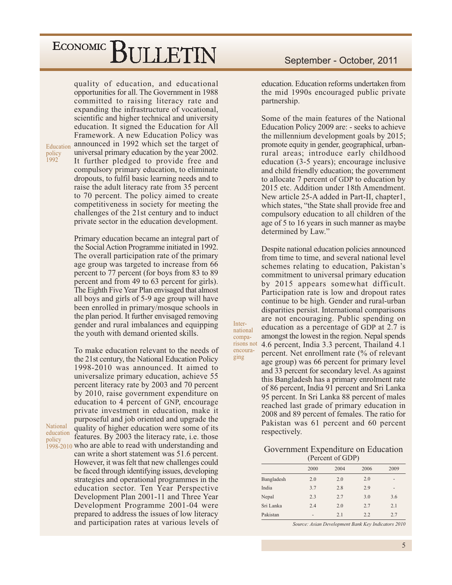quality of education, and educational opportunities for all. The Government in 1988 committed to raising literacy rate and expanding the infrastructure of vocational, scientific and higher technical and university education. It signed the Education for All Framework. A new Education Policy was announced in 1992 which set the target of universal primary education by the year 2002. It further pledged to provide free and compulsory primary education, to eliminate dropouts, to fulfil basic learning needs and to raise the adult literacy rate from 35 percent to 70 percent. The policy aimed to create competitiveness in society for meeting the challenges of the 21st century and to induct private sector in the education development.

Education policy<br>1992

> Primary education became an integral part of the Social Action Programme initiated in 1992. The overall participation rate of the primary age group was targeted to increase from 66 percent to 77 percent (for boys from 83 to 89) percent and from 49 to 63 percent for girls). The Eighth Five Year Plan envisaged that almost all boys and girls of 5-9 age group will have been enrolled in primary/mosque schools in the plan period. It further envisaged removing gender and rural imbalances and equipping the youth with demand oriented skills.

To make education relevant to the needs of the 21st century, the National Education Policy 1998-2010 was announced. It aimed to universalize primary education, achieve 55 percent literacy rate by 2003 and 70 percent by 2010, raise government expenditure on education to 4 percent of GNP, encourage private investment in education, make it purposeful and job oriented and upgrade the quality of higher education were some of its features. By 2003 the literacy rate, *i.e.* those 1998-2010 who are able to read with understanding and can write a short statement was 51.6 percent. However, it was felt that new challenges could be faced through identifying issues, developing

National education policy

> strategies and operational programmes in the education sector. Ten Year Perspective Development Plan 2001-11 and Three Year Development Programme 2001-04 were prepared to address the issues of low literacy and participation rates at various levels of

education. Education reforms undertaken from the mid 1990s encouraged public private partnership.

Some of the main features of the National Education Policy 2009 are: - seeks to achieve the millennium development goals by 2015; promote equity in gender, geographical, urbanrural areas; introduce early childhood education (3-5 years); encourage inclusive and child friendly education; the government to allocate 7 percent of GDP to education by 2015 etc. Addition under 18th Amendment. New article 25-A added in Part-II, chapter1. which states, "the State shall provide free and compulsory education to all children of the age of 5 to 16 years in such manner as maybe determined by Law."

Despite national education policies announced from time to time, and several national level schemes relating to education, Pakistan's commitment to universal primary education by 2015 appears somewhat difficult. Participation rate is low and dropout rates continue to be high. Gender and rural-urban disparities persist. International comparisons are not encouraging. Public spending on education as a percentage of GDP at 2.7 is amongst the lowest in the region. Nepal spends 4.6 percent, India 3.3 percent, Thailand 4.1 percent. Net enrollment rate (% of relevant age group) was 66 percent for primary level and 33 percent for secondary level. As against this Bangladesh has a primary enrolment rate of 86 percent, India 91 percent and Sri Lanka 95 percent. In Sri Lanka 88 percent of males reached last grade of primary education in 2008 and 89 percent of females. The ratio for Pakistan was 61 percent and 60 percent respectively.

Inter-

national

comparisons not

encoura-

ging

#### Government Expenditure on Education (Percent of GDP)

|            | 2000 | 2004 | 2006 | 2009 |
|------------|------|------|------|------|
| Bangladesh | 2.0  | 2.0  | 2.0  | -    |
| India      | 3.7  | 2.8  | 2.9  | -    |
| Nepal      | 2.3  | 2.7  | 3.0  | 3.6  |
| Sri Lanka  | 2.4  | 2.0  | 2.7  | 2.1  |
| Pakistan   | -    | 2.1  | 2.2  | 2.7  |

Source: Asian Development Bank Key Indicators 2010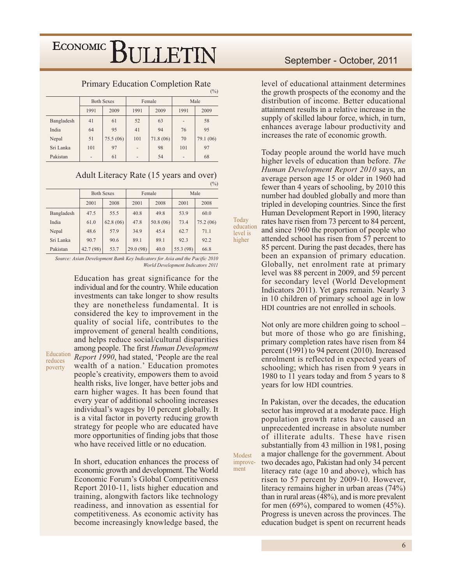#### **Primary Education Completion Rate**

|            |              | <b>Both Sexes</b> |                   | Female   | Male                     |           |  |
|------------|--------------|-------------------|-------------------|----------|--------------------------|-----------|--|
|            | 1991<br>2009 |                   | 1991              | 2009     | 1991                     | 2009      |  |
| Bangladesh | 41           | 61                | 52                | 63       | $\qquad \qquad -$        | 58        |  |
| India      | 64           | 95                | 41                | 94       | 76                       | 95        |  |
| Nepal      | 51           | 75.5(06)          | 101               | 71.8(06) | 70                       | 79.1 (06) |  |
| Sri Lanka  | 101          | 97                | $\qquad \qquad -$ | 98       | 101                      | 97        |  |
| Pakistan   | -            | 61                | -                 | 54       | $\overline{\phantom{0}}$ | 68        |  |

#### Adult Literacy Rate (15 years and over)

|            |              | <b>Both Sexes</b> |           | Female    | Male      |          |  |  |  |
|------------|--------------|-------------------|-----------|-----------|-----------|----------|--|--|--|
|            | 2001<br>2008 |                   | 2001      | 2008      | 2001      | 2008     |  |  |  |
| Bangladesh | 47.5         | 55.5              | 40.8      | 49.8      | 53.9      | 60.0     |  |  |  |
| India      | 61.0         | 62.8(06)          | 47.8      | 50.8 (06) | 73.4      | 75.2(06) |  |  |  |
| Nepal      | 48.6         | 57.9              | 34.9      | 45.4      | 62.7      | 71.1     |  |  |  |
| Sri Lanka  | 90.7         | 90.6              | 89.1      | 89.1      | 92.3      | 92.2     |  |  |  |
| Pakistan   | 42.7(98)     | 53.7              | 29.0 (98) | 40.0      | 55.3 (98) | 66.8     |  |  |  |

Source: Asian Development Bank Key Indicators for Asia and the Pacific 2010 World Development Indicators 2011

> Education has great significance for the individual and for the country. While education investments can take longer to show results they are nonetheless fundamental. It is considered the key to improvement in the quality of social life, contributes to the improvement of general health conditions, and helps reduce social/cultural disparities among people. The first Human Development Report 1990, had stated, 'People are the real wealth of a nation.' Education promotes people's creativity, empowers them to avoid health risks, live longer, have better jobs and earn higher wages. It has been found that every year of additional schooling increases individual's wages by 10 percent globally. It is a vital factor in poverty reducing growth strategy for people who are educated have more opportunities of finding jobs that those who have received little or no education.

Education

reduces

poverty

In short, education enhances the process of economic growth and development. The World Economic Forum's Global Competitiveness Report 2010-11, lists higher education and training, alongwith factors like technology readiness, and innovation as essential for competitiveness. As economic activity has become increasingly knowledge based, the

#### September - October, 2011

level of educational attainment determines the growth prospects of the economy and the distribution of income. Better educational attainment results in a relative increase in the supply of skilled labour force, which, in turn, enhances average labour productivity and increases the rate of economic growth.

Today people around the world have much higher levels of education than before. The Human Development Report 2010 says, an average person age 15 or older in 1960 had fewer than 4 years of schooling, by 2010 this number had doubled globally and more than tripled in developing countries. Since the first Human Development Report in 1990, literacy rates have risen from 73 percent to 84 percent, and since 1960 the proportion of people who attended school has risen from 57 percent to 85 percent. During the past decades, there has been an expansion of primary education. Globally, net enrolment rate at primary level was 88 percent in 2009, and 59 percent for secondary level (World Development Indicators 2011). Yet gaps remain. Nearly 3 in 10 children of primary school age in low HDI countries are not enrolled in schools.

Not only are more children going to school – but more of those who go are finishing, primary completion rates have risen from 84 percent (1991) to 94 percent (2010). Increased enrolment is reflected in expected years of schooling; which has risen from 9 years in 1980 to 11 years today and from 5 years to 8 years for low HDI countries.

In Pakistan, over the decades, the education sector has improved at a moderate pace. High population growth rates have caused an unprecedented increase in absolute number of illiterate adults. These have risen substantially from 43 million in 1981, posing a major challenge for the government. About two decades ago, Pakistan had only 34 percent literacy rate (age 10 and above), which has risen to 57 percent by 2009-10. However, literacy remains higher in urban areas  $(74%)$ than in rural areas  $(48\%)$ , and is more prevalent for men  $(69\%)$ , compared to women  $(45\%)$ . Progress is uneven across the provinces. The education budget is spent on recurrent heads

Today education level is higher

Modest

ment

improve-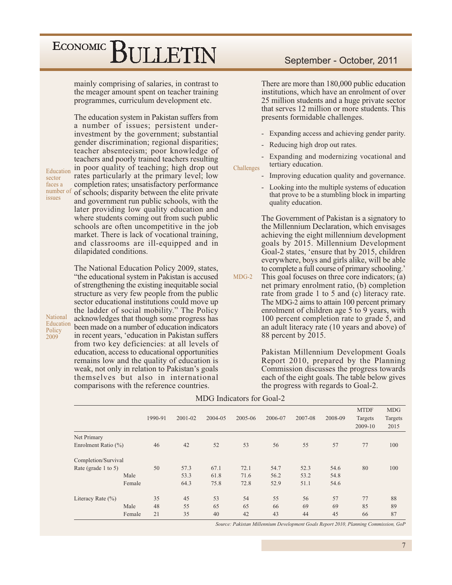mainly comprising of salaries, in contrast to the meager amount spent on teacher training programmes, curriculum development etc.

The education system in Pakistan suffers from a number of issues; persistent underinvestment by the government; substantial gender discrimination; regional disparities; teacher absenteeism; poor knowledge of teachers and poorly trained teachers resulting in poor quality of teaching; high drop out rates particularly at the primary level; low completion rates; unsatisfactory performance of schools; disparity between the elite private and government run public schools, with the later providing low quality education and where students coming out from such public schools are often uncompetitive in the job market. There is lack of vocational training, and classrooms are ill-equipped and in dilapidated conditions.

The National Education Policy 2009, states, "the educational system in Pakistan is accused of strengthening the existing inequitable social structure as very few people from the public sector educational institutions could move up the ladder of social mobility." The Policy acknowledges that though some progress has been made on a number of education indicators in recent years, 'education in Pakistan suffers' from two key deficiencies: at all levels of education, access to educational opportunities remains low and the quality of education is weak, not only in relation to Pakistan's goals themselves but also in international comparisons with the reference countries.

#### Education sector faces a number of issues

**National** 

Policy

 $2009$ 

Education

#### September - October, 2011

There are more than 180,000 public education institutions, which have an enrolment of over 25 million students and a huge private sector that serves 12 million or more students. This presents formidable challenges.

- Expanding access and achieving gender parity.  $\frac{1}{2}$
- Reducing high drop out rates.  $\frac{1}{2}$

Expanding and modernizing vocational and tertiary education. Challenges

- Improving education quality and governance.
- Looking into the multiple systems of education that prove to be a stumbling block in imparting quality education.

The Government of Pakistan is a signatory to the Millennium Declaration, which envisages achieving the eight millennium development goals by 2015. Millennium Development Goal-2 states, 'ensure that by 2015, children everywhere, boys and girls alike, will be able to complete a full course of primary schooling.'

 $MDG-2$ This goal focuses on three core indicators; (a) net primary enrolment ratio, (b) completion rate from grade 1 to 5 and (c) literacy rate. The MDG-2 aims to attain 100 percent primary enrolment of children age 5 to 9 years, with 100 percent completion rate to grade 5, and an adult literacy rate (10 years and above) of 88 percent by 2015.

> Pakistan Millennium Development Goals Report 2010, prepared by the Planning Commission discusses the progress towards each of the eight goals. The table below gives the progress with regards to Goal-2.

|                         |        |         |         |         |         |         |         |         | <b>MTDF</b> | <b>MDG</b> |
|-------------------------|--------|---------|---------|---------|---------|---------|---------|---------|-------------|------------|
|                         |        | 1990-91 | 2001-02 | 2004-05 | 2005-06 | 2006-07 | 2007-08 | 2008-09 | Targets     | Targets    |
|                         |        |         |         |         |         |         |         |         | 2009-10     | 2015       |
| Net Primary             |        |         |         |         |         |         |         |         |             |            |
| Enrolment Ratio $(\% )$ |        | 46      | 42      | 52      | 53      | 56      | 55      | 57      | 77          | 100        |
| Completion/Survival     |        |         |         |         |         |         |         |         |             |            |
| Rate (grade 1 to 5)     |        | 50      | 57.3    | 67.1    | 72.1    | 54.7    | 52.3    | 54.6    | 80          | 100        |
|                         | Male   |         | 53.3    | 61.8    | 71.6    | 56.2    | 53.2    | 54.8    |             |            |
|                         | Female |         | 64.3    | 75.8    | 72.8    | 52.9    | 51.1    | 54.6    |             |            |
| Literacy Rate $(\% )$   |        | 35      | 45      | 53      | 54      | 55      | 56      | 57      | 77          | 88         |
|                         | Male   | 48      | 55      | 65      | 65      | 66      | 69      | 69      | 85          | 89         |
|                         | Female | 21      | 35      | 40      | 42      | 43      | 44      | 45      | 66          | 87         |

**MDG** Indicators for Goal-2

Source: Pakistan Millennium Development Goals Report 2010, Planning Commission, GoP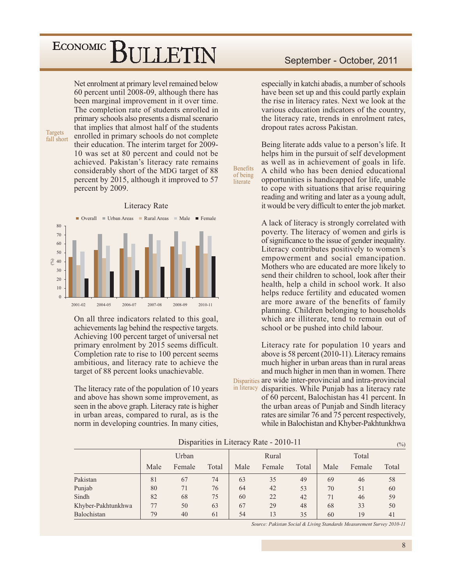Net enrolment at primary level remained below 60 percent until 2008-09, although there has been marginal improvement in it over time. The completion rate of students enrolled in primary schools also presents a dismal scenario that implies that almost half of the students enrolled in primary schools do not complete their education. The interim target for 2009-10 was set at 80 percent and could not be achieved. Pakistan's literacy rate remains considerably short of the MDG target of 88 percent by 2015, although it improved to 57 percent by 2009.

#### **Literacy Rate** Overall ■ Urban Areas Rural Areas  $Male$  $\blacksquare$  Female 80 70 60  $50$  $\left( \mathcal{N}_{0}\right)$ 40 30 20  $10$  $\Omega$ 2001-02 2004-05 2006-07 2007-08 2008-09  $2010 - 11$

On all three indicators related to this goal, achievements lag behind the respective targets. Achieving 100 percent target of universal net primary enrolment by 2015 seems difficult. Completion rate to rise to 100 percent seems ambitious, and literacy rate to achieve the target of 88 percent looks unachievable.

The literacy rate of the population of 10 years and above has shown some improvement, as seen in the above graph. Literacy rate is higher in urban areas, compared to rural, as is the norm in developing countries. In many cities,

#### September - October, 2011

especially in katchi abadis, a number of schools have been set up and this could partly explain the rise in literacy rates. Next we look at the various education indicators of the country, the literacy rate, trends in enrolment rates, dropout rates across Pakistan.

Being literate adds value to a person's life. It helps him in the pursuit of self development as well as in achievement of goals in life. A child who has been denied educational opportunities is handicapped for life, unable to cope with situations that arise requiring reading and writing and later as a young adult, it would be very difficult to enter the job market.

A lack of literacy is strongly correlated with poverty. The literacy of women and girls is of significance to the issue of gender inequality. Literacy contributes positively to women's empowerment and social emancipation. Mothers who are educated are more likely to send their children to school, look after their health, help a child in school work. It also helps reduce fertility and educated women are more aware of the benefits of family planning. Children belonging to households which are illiterate, tend to remain out of school or be pushed into child labour.

Literacy rate for population 10 years and above is 58 percent (2010-11). Literacy remains much higher in urban areas than in rural areas and much higher in men than in women. There Disparities are wide inter-provincial and intra-provincial in literacy disparities. While Punjab has a literacy rate of 60 percent, Balochistan has 41 percent. In the urban areas of Punjab and Sindh literacy rates are similar 76 and 75 percent respectively, while in Balochistan and Khyber-Pakhtunkhwa

Disparities in Literacy Rate - 2010-11

**Benefits** 

of being

literate

|                    | Urban |        |       | Rural |        |       | Total |        |       |
|--------------------|-------|--------|-------|-------|--------|-------|-------|--------|-------|
|                    | Male  | Female | Total | Male  | Female | Total | Male  | Female | Total |
| Pakistan           | 81    | 67     | 74    | 63    | 35     | 49    | 69    | 46     | 58    |
| Punjab             | 80    | 71     | 76    | 64    | 42     | 53    | 70    | 51     | 60    |
| Sindh              | 82    | 68     | 75    | 60    | 22     | 42    | 71    | 46     | 59    |
| Khyber-Pakhtunkhwa | 77    | 50     | 63    | 67    | 29     | 48    | 68    | 33     | 50    |
| Balochistan        | 79    | 40     | 61    | 54    | 13     | 35    | 60    | 19     | 41    |

Source: Pakistan Social & Living Standards Measurement Survey 2010-11

 $\binom{0}{0}$ 

**Targets** fall short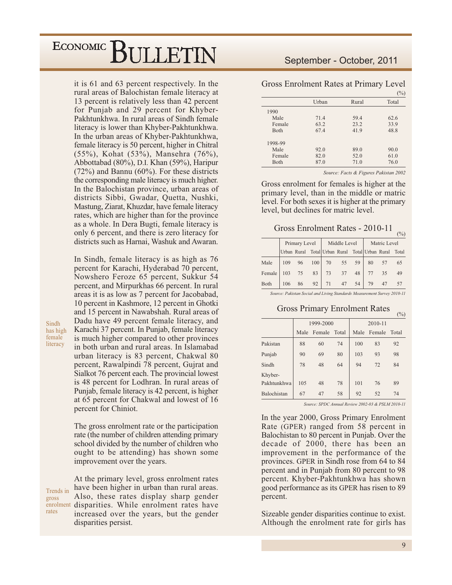it is 61 and 63 percent respectively. In the rural areas of Balochistan female literacy at 13 percent is relatively less than 42 percent for Punjab and 29 percent for Khyber-Pakhtunkhwa. In rural areas of Sindh female literacy is lower than Khyber-Pakhtunkhwa. In the urban areas of Khyber-Pakhtunkhwa, female literacy is 50 percent, higher in Chitral (55%), Kohat (53%), Mansehra (76%), Abbottabad (80%), D.I. Khan (59%), Haripur  $(72\%)$  and Bannu  $(60\%)$ . For these districts the corresponding male literacy is much higher. In the Balochistan province, urban areas of districts Sibbi, Gwadar, Quetta, Nushki, Mastung, Ziarat, Khuzdar, have female literacy rates, which are higher than for the province as a whole. In Dera Bugti, female literacy is only 6 percent, and there is zero literacy for districts such as Harnai. Washuk and Awaran.

In Sindh, female literacy is as high as 76 percent for Karachi, Hyderabad 70 percent, Nowshero Feroze 65 percent, Sukkur 54 percent, and Mirpurkhas 66 percent. In rural areas it is as low as 7 percent for Jacobabad, 10 percent in Kashmore, 12 percent in Ghotki and 15 percent in Nawabshah. Rural areas of Dadu have 49 percent female literacy, and Karachi 37 percent. In Punjab, female literacy is much higher compared to other provinces in both urban and rural areas. In Islamabad urban literacy is 83 percent, Chakwal 80 percent, Rawalpindi 78 percent, Gujrat and Sialkot 76 percent each. The provincial lowest is 48 percent for Lodhran. In rural areas of Punjab, female literacy is 42 percent, is higher at 65 percent for Chakwal and lowest of 16 percent for Chiniot.

Sindh

has high female

literacy

The gross enrolment rate or the participation rate (the number of children attending primary school divided by the number of children who ought to be attending) has shown some improvement over the years.

At the primary level, gross enrolment rates have been higher in urban than rural areas. Trends in Also, these rates display sharp gender gross enrolment disparities. While enrolment rates have rates increased over the years, but the gender disparities persist.

#### September - October, 2011

|              |       |       | $(\%)$ |
|--------------|-------|-------|--------|
|              | Urban | Rural | Total  |
| 1990         |       |       |        |
| Male         | 71.4  | 59.4  | 62.6   |
| Female       | 63.2  | 23.2  | 33.9   |
| <b>B</b> oth | 67.4  | 41.9  | 48.8   |
| 1998-99      |       |       |        |
| Male         | 92.0  | 89.0  | 90.0   |
| Female       | 82.0  | 52.0  | 61.0   |
| Both         | 87.0  | 71.0  | 76.0   |

Gross Enrolment Rates at Primary Level

Source: Facts & Figures Pakistan 2002

Gross enrolment for females is higher at the primary level, than in the middle or matric level. For both sexes it is higher at the primary level, but declines for matric level.

### Gross Enrolment Rates - 2010-11

|        |                                                 | Primary Level |     | Middle Level |    |    | Matric Level |    |       |
|--------|-------------------------------------------------|---------------|-----|--------------|----|----|--------------|----|-------|
|        | Urban Rural Total Urban Rural Total Urban Rural |               |     |              |    |    |              |    | Total |
| Male   | 109                                             | 96            | 100 | 70           | 55 | 59 | 80           | 57 | 65    |
| Female | 103                                             | 75            | 83  | 73           | 37 | 48 |              | 35 | 49    |
| Both   | 106                                             | 86            | 92  | 71           | 47 | 54 | 79           |    |       |

Source: Pakistan Social and Living Standards Measurement Survey 2010-11

#### **Gross Primary Enrolment Rates**  $\binom{0}{0}$

|             |                | 1999-2000 |       | 2010-11 |        |       |  |
|-------------|----------------|-----------|-------|---------|--------|-------|--|
|             | Female<br>Male |           | Total | Male    | Female | Total |  |
| Pakistan    | 88             | 60        | 74    | 100     | 83     | 92    |  |
| Punjab      | 90             | 69        | 80    | 103     | 93     | 98    |  |
| Sindh       | 78             | 48        | 64    | 94      | 72     | 84    |  |
| Khyber-     |                |           |       |         |        |       |  |
| Pakhtunkhwa | 105            | 48        | 78    | 101     | 76     | 89    |  |
| Balochistan | 67             | 47        | 58    | 92      | 52     | 74    |  |

Source: SPDC Annual Review 2002-03 & PSLM 2010-11

In the year 2000, Gross Primary Enrolment Rate (GPER) ranged from 58 percent in Balochistan to 80 percent in Punjab. Over the decade of 2000, there has been an improvement in the performance of the provinces. GPER in Sindh rose from 64 to 84 percent and in Punjab from 80 percent to 98 percent. Khyber-Pakhtunkhwa has shown good performance as its GPER has risen to 89 percent.

Sizeable gender disparities continue to exist. Although the enrolment rate for girls has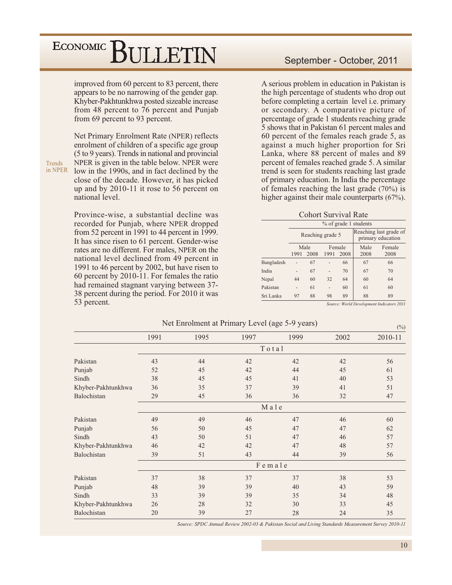improved from 60 percent to 83 percent, there appears to be no narrowing of the gender gap. Khyber-Pakhtunkhwa posted sizeable increase from 48 percent to 76 percent and Punjab from 69 percent to 93 percent.

Net Primary Enrolment Rate (NPER) reflects enrolment of children of a specific age group (5 to 9 years). Trends in national and provincial NPER is given in the table below. NPER were low in the 1990s, and in fact declined by the close of the decade. However, it has picked up and by 2010-11 it rose to 56 percent on national level.

Province-wise, a substantial decline was recorded for Punjab, where NPER dropped from 52 percent in 1991 to 44 percent in 1999. It has since risen to 61 percent. Gender-wise rates are no different. For males, NPER on the national level declined from 49 percent in 1991 to 46 percent by 2002, but have risen to 60 percent by 2010-11. For females the ratio had remained stagnant varying between 37-38 percent during the period. For 2010 it was 53 percent.

A serious problem in education in Pakistan is the high percentage of students who drop out before completing a certain level *i.e.* primary or secondary. A comparative picture of percentage of grade 1 students reaching grade 5 shows that in Pakistan 61 percent males and 60 percent of the females reach grade 5, as against a much higher proportion for Sri Lanka, where 88 percent of males and 89 percent of females reached grade 5. A similar trend is seen for students reaching last grade of primary education. In India the percentage of females reaching the last grade  $(70\%)$  is higher against their male counterparts (67%).

**Cohort Survival Rate** 

|            |          | % of grade 1 students |                        |    |                                             |                |  |  |  |  |  |
|------------|----------|-----------------------|------------------------|----|---------------------------------------------|----------------|--|--|--|--|--|
|            |          | Reaching grade 5      |                        |    | Reaching last grade of<br>primary education |                |  |  |  |  |  |
|            | 1991     | Male<br>2008          | Female<br>2008<br>1991 |    | Male<br>2008                                | Female<br>2008 |  |  |  |  |  |
| Bangladesh |          | 67                    |                        | 66 | 67                                          | 66             |  |  |  |  |  |
| India      |          | 67                    | $\overline{a}$         | 70 | 67                                          | 70             |  |  |  |  |  |
| Nepal      | 44       | 60                    | 32                     | 64 | 60                                          | 64             |  |  |  |  |  |
| Pakistan   | ٠        | 61                    |                        | 60 | 61                                          | 60             |  |  |  |  |  |
| Sri Lanka  | 88<br>97 |                       | 98                     | 89 | 88                                          | 89             |  |  |  |  |  |

Source: World Development Indicators 2011

 $(\% )$ 

|  | Net Enrolment at Primary Level (age 5-9 years) |
|--|------------------------------------------------|
|  |                                                |

|                    | 1991 | 1995 | 1997   | 1999 | 2002 | 2010-11 |  |  |  |  |
|--------------------|------|------|--------|------|------|---------|--|--|--|--|
|                    |      |      | Total  |      |      |         |  |  |  |  |
| Pakistan           | 43   | 44   | 42     | 42   | 42   | 56      |  |  |  |  |
| Punjab             | 52   | 45   | 42     | 44   | 45   | 61      |  |  |  |  |
| Sindh              | 38   | 45   | 45     | 41   | 40   | 53      |  |  |  |  |
| Khyber-Pakhtunkhwa | 36   | 35   | 37     | 39   | 41   | 51      |  |  |  |  |
| Balochistan        | 29   | 45   | 36     | 36   | 32   | 47      |  |  |  |  |
|                    | Male |      |        |      |      |         |  |  |  |  |
| Pakistan           | 49   | 49   | 46     | 47   | 46   | 60      |  |  |  |  |
| Punjab             | 56   | 50   | 45     | 47   | 47   | 62      |  |  |  |  |
| Sindh              | 43   | 50   | 51     | 47   | 46   | 57      |  |  |  |  |
| Khyber-Pakhtunkhwa | 46   | 42   | 42     | 47   | 48   | 57      |  |  |  |  |
| Balochistan        | 39   | 51   | 43     | 44   | 39   | 56      |  |  |  |  |
|                    |      |      | Female |      |      |         |  |  |  |  |
| Pakistan           | 37   | 38   | 37     | 37   | 38   | 53      |  |  |  |  |
| Punjab             | 48   | 39   | 39     | 40   | 43   | 59      |  |  |  |  |
| Sindh              | 33   | 39   | 39     | 35   | 34   | 48      |  |  |  |  |
| Khyber-Pakhtunkhwa | 26   | 28   | 32     | 30   | 33   | 45      |  |  |  |  |
| Balochistan        | 20   | 39   | 27     | 28   | 24   | 35      |  |  |  |  |

Source: SPDC Annual Review 2002-03 & Pakistan Social and Living Standards Measurement Survey 2010-11

Trends in NPER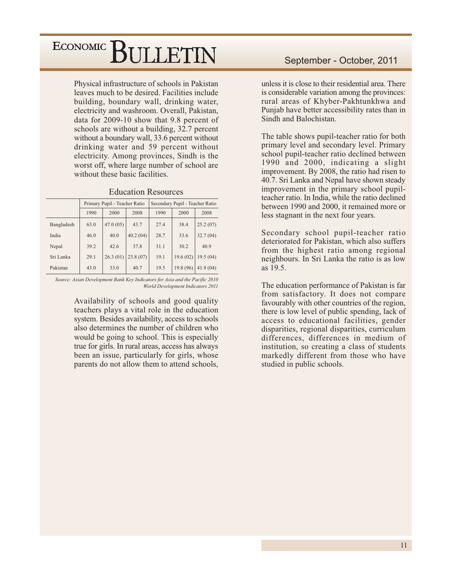Physical infrastructure of schools in Pakistan leaves much to be desired. Facilities include building, boundary wall, drinking water, electricity and washroom. Overall, Pakistan, data for 2009-10 show that 9.8 percent of schools are without a building, 32.7 percent without a boundary wall, 33.6 percent without drinking water and 59 percent without electricity. Among provinces, Sindh is the worst off, where large number of school are without these basic facilities.

|            |      | Primary Pupil - Teacher Ratio |          | Secondary Pupil - Teacher Ratio |           |          |  |
|------------|------|-------------------------------|----------|---------------------------------|-----------|----------|--|
|            | 1990 | 2000                          | 2008     | 1990                            | 2000      | 2008     |  |
| Bangladesh | 63.0 | 47.0(05)                      | 43.7     | 27.4                            | 38.4      | 25.2(07) |  |
| India      | 46.0 | 40.0                          | 40.2(04) | 28.7                            | 33.6      | 32.7(04) |  |
| Nepal      | 39.2 | 42.6                          | 37.8     | 31.1                            | 30.2      | 40.9     |  |
| Sri Lanka  | 29.1 | 26.3(01)                      | 23.8(07) | 19.1                            | 19.6(02)  | 19.5(04) |  |
| Pakistan   | 43.0 | 33.0                          | 40.7     | 19.5                            | 19.8 (96) | 41.9(04) |  |

Source: Asian Development Bank Key Indicators for Asia and the Pacific 2010 World Development Indicators 2011

> Availability of schools and good quality teachers plays a vital role in the education system. Besides availability, access to schools also determines the number of children who would be going to school. This is especially true for girls. In rural areas, access has always been an issue, particularly for girls, whose parents do not allow them to attend schools,

unless it is close to their residential area. There is considerable variation among the provinces: rural areas of Khyber-Pakhtunkhwa and Punjab have better accessibility rates than in Sindh and Balochistan.

The table shows pupil-teacher ratio for both primary level and secondary level. Primary school pupil-teacher ratio declined between 1990 and 2000, indicating a slight improvement. By 2008, the ratio had risen to 40.7. Sri Lanka and Nepal have shown steady improvement in the primary school pupilteacher ratio. In India, while the ratio declined between 1990 and 2000, it remained more or less stagnant in the next four years.

Secondary school pupil-teacher ratio deteriorated for Pakistan, which also suffers from the highest ratio among regional neighbours. In Sri Lanka the ratio is as low as  $19.5$ .

The education performance of Pakistan is far from satisfactory. It does not compare favourably with other countries of the region, there is low level of public spending, lack of access to educational facilities, gender disparities, regional disparities, curriculum differences, differences in medium of institution, so creating a class of students markedly different from those who have studied in public schools.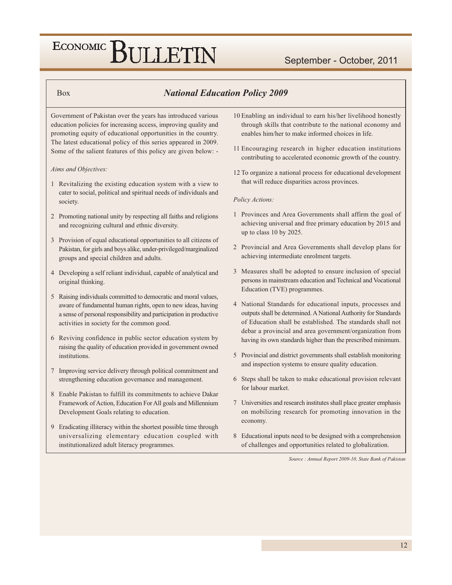#### **Box**

#### **National Education Policy 2009**

Government of Pakistan over the years has introduced various education policies for increasing access, improving quality and promoting equity of educational opportunities in the country. The latest educational policy of this series appeared in 2009. Some of the salient features of this policy are given below: -

#### Aims and Objectives:

- 1 Revitalizing the existing education system with a view to cater to social, political and spiritual needs of individuals and society.
- 2 Promoting national unity by respecting all faiths and religions and recognizing cultural and ethnic diversity.
- 3 Provision of equal educational opportunities to all citizens of Pakistan, for girls and boys alike, under-privileged/marginalized groups and special children and adults.
- 4 Developing a self reliant individual, capable of analytical and original thinking.
- 5 Raising individuals committed to democratic and moral values, aware of fundamental human rights, open to new ideas, having a sense of personal responsibility and participation in productive activities in society for the common good.
- 6 Reviving confidence in public sector education system by raising the quality of education provided in government owned institutions
- 7 Improving service delivery through political commitment and strengthening education governance and management.
- 8 Enable Pakistan to fulfill its commitments to achieve Dakar Framework of Action, Education For All goals and Millennium Development Goals relating to education.
- 9 Eradicating illiteracy within the shortest possible time through universalizing elementary education coupled with institutionalized adult literacy programmes.
- 10 Enabling an individual to earn his/her livelihood honestly through skills that contribute to the national economy and enables him/her to make informed choices in life.
- 11 Encouraging research in higher education institutions contributing to accelerated economic growth of the country.
- 12 To organize a national process for educational development that will reduce disparities across provinces.

#### Policy Actions:

- 1 Provinces and Area Governments shall affirm the goal of achieving universal and free primary education by 2015 and up to class 10 by 2025.
- 2 Provincial and Area Governments shall develop plans for achieving intermediate enrolment targets.
- 3 Measures shall be adopted to ensure inclusion of special persons in mainstream education and Technical and Vocational Education (TVE) programmes.
- 4 National Standards for educational inputs, processes and outputs shall be determined. A National Authority for Standards of Education shall be established. The standards shall not debar a provincial and area government/organization from having its own standards higher than the prescribed minimum.
- 5 Provincial and district governments shall establish monitoring and inspection systems to ensure quality education.
- 6 Steps shall be taken to make educational provision relevant for labour market.
- 7 Universities and research institutes shall place greater emphasis on mobilizing research for promoting innovation in the economy.
- 8 Educational inputs need to be designed with a comprehension of challenges and opportunities related to globalization.

Source : Annual Report 2009-10, State Bank of Pakistan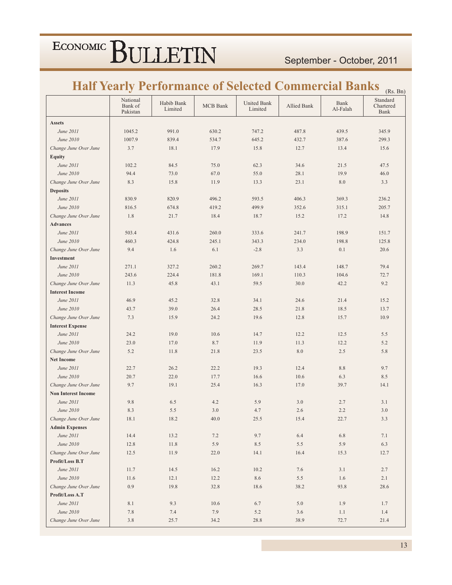### **Half Yearly Performance of Selected Commercial Banks <sub>(Rs. Bn)</sub>**

|                            | National<br>Bank of<br>Pakistan | Habib Bank<br>Limited | <b>MCB</b> Bank | <b>United Bank</b><br>Limited | Allied Bank | Bank<br>Al-Falah | $\sum$<br>Standard<br>Chartered<br><b>Bank</b> |
|----------------------------|---------------------------------|-----------------------|-----------------|-------------------------------|-------------|------------------|------------------------------------------------|
| <b>Assets</b>              |                                 |                       |                 |                               |             |                  |                                                |
| June 2011                  | 1045.2                          | 991.0                 | 630.2           | 747.2                         | 487.8       | 439.5            | 345.9                                          |
| June 2010                  | 1007.9                          | 839.4                 | 534.7           | 645.2                         | 432.7       | 387.6            | 299.3                                          |
| Change June Over June      | 3.7                             | 18.1                  | 17.9            | 15.8                          | 12.7        | 13.4             | 15.6                                           |
| <b>Equity</b>              |                                 |                       |                 |                               |             |                  |                                                |
| June 2011                  | 102.2                           | 84.5                  | 75.0            | 62.3                          | 34.6        | 21.5             | 47.5                                           |
| June 2010                  | 94.4                            | 73.0                  | 67.0            | 55.0                          | 28.1        | 19.9             | 46.0                                           |
| Change June Over June      | 8.3                             | 15.8                  | 11.9            | 13.3                          | 23.1        | 8.0              | 3.3                                            |
| <b>Deposits</b>            |                                 |                       |                 |                               |             |                  |                                                |
| June 2011                  | 830.9                           | 820.9                 | 496.2           | 593.5                         | 406.3       | 369.3            | 236.2                                          |
| June 2010                  | 816.5                           | 674.8                 | 419.2           | 499.9                         | 352.6       | 315.1            | 205.7                                          |
| Change June Over June      | 1.8                             | 21.7                  | 18.4            | 18.7                          | 15.2        | 17.2             | 14.8                                           |
| <b>Advances</b>            |                                 |                       |                 |                               |             |                  |                                                |
| June 2011                  | 503.4                           | 431.6                 | 260.0           | 333.6                         | 241.7       | 198.9            | 151.7                                          |
| June 2010                  | 460.3                           | 424.8                 | 245.1           | 343.3                         | 234.0       | 198.8            | 125.8                                          |
| Change June Over June      | 9.4                             | 1.6                   | 6.1             | $-2.8$                        | 3.3         | 0.1              | 20.6                                           |
| Investment                 |                                 |                       |                 |                               |             |                  |                                                |
| June 2011                  | 271.1                           | 327.2                 | 260.2           | 269.7                         | 143.4       | 148.7            | 79.4                                           |
| June 2010                  | 243.6                           | 224.4                 | 181.8           | 169.1                         | 110.3       | 104.6            | 72.7                                           |
| Change June Over June      | 11.3                            | 45.8                  | 43.1            | 59.5                          | 30.0        | 42.2             | 9.2                                            |
| <b>Interest Income</b>     |                                 |                       |                 |                               |             |                  |                                                |
| June 2011                  | 46.9                            | 45.2                  | 32.8            | 34.1                          | 24.6        | 21.4             | 15.2                                           |
| June 2010                  | 43.7                            | 39.0                  | 26.4            | 28.5                          | 21.8        | 18.5             | 13.7                                           |
| Change June Over June      | 7.3                             | 15.9                  | 24.2            | 19.6                          | 12.8        | 15.7             | 10.9                                           |
| <b>Interest Expense</b>    |                                 |                       |                 |                               |             |                  |                                                |
| June 2011                  | 24.2                            | 19.0                  | 10.6            | 14.7                          | 12.2        | 12.5             | 5.5                                            |
| June 2010                  | 23.0                            | 17.0                  | 8.7             | 11.9                          | 11.3        | 12.2             | 5.2                                            |
| Change June Over June      | 5.2                             | 11.8                  | 21.8            | 23.5                          | $8.0\,$     | 2.5              | 5.8                                            |
| <b>Net Income</b>          |                                 |                       |                 |                               |             |                  |                                                |
| June 2011                  | 22.7                            | 26.2                  | 22.2            | 19.3                          | 12.4        | 8.8              | 9.7                                            |
| June 2010                  | 20.7                            | 22.0                  | 17.7            | 16.6                          | 10.6        | 6.3              | 8.5                                            |
| Change June Over June      | 9.7                             | 19.1                  | 25.4            | 16.3                          | 17.0        | 39.7             | 14.1                                           |
| <b>Non Interest Income</b> |                                 |                       |                 |                               |             |                  |                                                |
| June 2011                  | 9.8                             | 6.5                   | 4.2             | 5.9                           | 3.0         | 2.7              | 3.1                                            |
| June 2010                  | 8.3                             | 5.5                   | 3.0             | 4.7                           | 2.6         | 2.2              | 3.0                                            |
| Change June Over June      | 18.1                            | 18.2                  | 40.0            | 25.5                          | 15.4        | 22.7             | 3.3                                            |
| <b>Admin Expenses</b>      |                                 |                       |                 |                               |             |                  |                                                |
| June 2011                  | 14.4                            | 13.2                  | 7.2             | 9.7                           | 6.4         | 6.8              | 7.1                                            |
| June 2010                  | 12.8                            | 11.8                  | 5.9             | 8.5                           | 5.5         | 5.9              | 6.3                                            |
| Change June Over June      | 12.5                            | 11.9                  | 22.0            | 14.1                          | 16.4        | 15.3             | 12.7                                           |
| Profit/Loss B.T            |                                 |                       |                 |                               |             |                  |                                                |
| June 2011                  | 11.7                            | 14.5                  | 16.2            | 10.2                          | 7.6         | 3.1              | 2.7                                            |
| June 2010                  | 11.6                            | 12.1                  | 12.2            | 8.6                           | 5.5         | 1.6              | 2.1                                            |
| Change June Over June      | 0.9                             | 19.8                  | 32.8            | 18.6                          | 38.2        | 93.8             | 28.6                                           |
| Profit/Loss A.T            |                                 |                       |                 |                               |             |                  |                                                |
| June 2011                  | 8.1                             | 9.3                   | 10.6            | 6.7                           | 5.0         | 1.9              | 1.7                                            |
| June 2010                  | 7.8                             | 7.4                   | 7.9             | 5.2                           | 3.6         | 1.1              | $1.4\,$                                        |
| Change June Over June      | 3.8                             | 25.7                  | 34.2            | 28.8                          | 38.9        | 72.7             | 21.4                                           |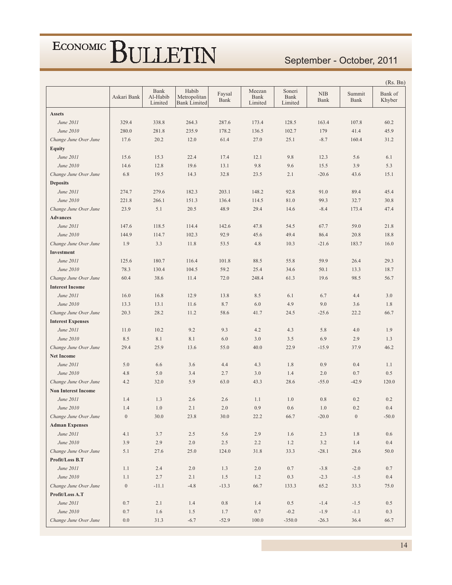#### September - October, 2011

|                            |                  |                             |                                              |                |                           |                           |                    |                  | (Rs. Bn)          |
|----------------------------|------------------|-----------------------------|----------------------------------------------|----------------|---------------------------|---------------------------|--------------------|------------------|-------------------|
|                            | Askari Bank      | Bank<br>Al-Habib<br>Limited | Habib<br>Metropolitan<br><b>Bank Limited</b> | Faysal<br>Bank | Meezan<br>Bank<br>Limited | Soneri<br>Bank<br>Limited | <b>NIB</b><br>Bank | Summit<br>Bank   | Bank of<br>Khyber |
| <b>Assets</b>              |                  |                             |                                              |                |                           |                           |                    |                  |                   |
| June 2011                  | 329.4            | 338.8                       | 264.3                                        | 287.6          | 173.4                     | 128.5                     | 163.4              | 107.8            | 60.2              |
| June 2010                  | 280.0            | 281.8                       | 235.9                                        | 178.2          | 136.5                     | 102.7                     | 179                | 41.4             | 45.9              |
| Change June Over June      | 17.6             | 20.2                        | 12.0                                         | 61.4           | 27.0                      | 25.1                      | $-8.7$             | 160.4            | 31.2              |
| <b>Equity</b>              |                  |                             |                                              |                |                           |                           |                    |                  |                   |
| June 2011                  | 15.6             | 15.3                        | 22.4                                         | 17.4           | 12.1                      | 9.8                       | 12.3               | 5.6              | 6.1               |
| June 2010                  | 14.6             | 12.8                        | 19.6                                         | 13.1           | 9.8                       | 9.6                       | 15.5               | 3.9              | 5.3               |
| Change June Over June      | 6.8              | 19.5                        | 14.3                                         | 32.8           | 23.5                      | 2.1                       | $-20.6$            | 43.6             | 15.1              |
| <b>Deposits</b>            |                  |                             |                                              |                |                           |                           |                    |                  |                   |
| June 2011                  | 274.7            | 279.6                       | 182.3                                        | 203.1          | 148.2                     | 92.8                      | 91.0               | 89.4             | 45.4              |
| June 2010                  | 221.8            | 266.1                       | 151.3                                        | 136.4          | 114.5                     | 81.0                      | 99.3               | 32.7             | 30.8              |
| Change June Over June      | 23.9             | 5.1                         | 20.5                                         | 48.9           | 29.4                      | 14.6                      | $-8.4$             | 173.4            | 47.4              |
| <b>Advances</b>            |                  |                             |                                              |                |                           |                           |                    |                  |                   |
| June 2011                  | 147.6            | 118.5                       | 114.4                                        | 142.6          | 47.8                      | 54.5                      | 67.7               | 59.0             | 21.8              |
| June 2010                  | 144.9            | 114.7                       | 102.3                                        | 92.9           | 45.6                      | 49.4                      | 86.4               | 20.8             | 18.8              |
| Change June Over June      | 1.9              | 3.3                         | 11.8                                         | 53.5           | 4.8                       | 10.3                      | $-21.6$            | 183.7            | 16.0              |
| Investment                 |                  |                             |                                              |                |                           |                           |                    |                  |                   |
| June 2011                  | 125.6            | 180.7                       | 116.4                                        | 101.8          | 88.5                      | 55.8                      | 59.9               | 26.4             | 29.3              |
| June 2010                  | 78.3             | 130.4                       | 104.5                                        | 59.2           | 25.4                      | 34.6                      | 50.1               | 13.3             | 18.7              |
| Change June Over June      | 60.4             | 38.6                        | 11.4                                         | 72.0           | 248.4                     | 61.3                      | 19.6               | 98.5             | 56.7              |
| <b>Interest Income</b>     |                  |                             |                                              |                |                           |                           |                    |                  |                   |
| June 2011                  | 16.0             | 16.8                        | 12.9                                         | 13.8           | 8.5                       | 6.1                       | 6.7                | 4.4              | 3.0               |
| June 2010                  | 13.3             | 13.1                        | 11.6                                         | 8.7            | 6.0                       | 4.9                       | 9.0                | 3.6              | 1.8               |
| Change June Over June      | 20.3             | 28.2                        | 11.2                                         | 58.6           | 41.7                      | 24.5                      | $-25.6$            | 22.2             | 66.7              |
| <b>Interest Expenses</b>   |                  |                             |                                              |                |                           |                           |                    |                  |                   |
| June 2011                  | 11.0             | 10.2                        | 9.2                                          | 9.3            | 4.2                       | 4.3                       | 5.8                | 4.0              | 1.9               |
| June 2010                  | 8.5              | 8.1                         | 8.1                                          | 6.0            | 3.0                       | 3.5                       | 6.9                | 2.9              | 1.3               |
| Change June Over June      | 29.4             | 25.9                        | 13.6                                         | 55.0           | 40.0                      | 22.9                      | $-15.9$            | 37.9             | 46.2              |
| <b>Net Income</b>          |                  |                             |                                              |                |                           |                           |                    |                  |                   |
| June 2011                  | 5.0              | 6.6                         | 3.6                                          | 4.4            | 4.3                       | 1.8                       | 0.9                | 0.4              | 1.1               |
| June 2010                  | 4.8              | 5.0                         | 3.4                                          | 2.7            | 3.0                       | 1.4                       | 2.0                | 0.7              | 0.5               |
| Change June Over June      | 4.2              | 32.0                        | 5.9                                          | 63.0           | 43.3                      | 28.6                      | $-55.0$            | $-42.9$          | 120.0             |
| <b>Non Interest Income</b> |                  |                             |                                              |                |                           |                           |                    |                  |                   |
| June 2011                  | 1.4              | 1.3                         | 2.6                                          | 2.6            | 1.1                       | 1.0                       | $0.8\,$            | 0.2              | 0.2               |
| June 2010                  | 1.4              | 1.0                         | 2.1                                          | 2.0            | 0.9                       | 0.6                       | 1.0                | $0.2\,$          | $0.4\,$           |
| Change June Over June      | $\boldsymbol{0}$ | 30.0                        | 23.8                                         | 30.0           | 22.2                      | 66.7                      | $-20.0$            | $\boldsymbol{0}$ | $-50.0$           |
| <b>Adman Expenses</b>      |                  |                             |                                              |                |                           |                           |                    |                  |                   |
| June 2011                  | 4.1              | 3.7                         | 2.5                                          | 5.6            | 2.9                       | 1.6                       | 2.3                | 1.8              | 0.6               |
| June 2010                  | 3.9              | 2.9                         | $2.0\,$                                      | 2.5            | 2.2                       | 1.2                       | 3.2                | $1.4\,$          | 0.4               |
| Change June Over June      | 5.1              | 27.6                        | 25.0                                         | 124.0          | 31.8                      | 33.3                      | $-28.1$            | 28.6             | $50.0\,$          |
| Profit/Loss B.T            |                  |                             |                                              |                |                           |                           |                    |                  |                   |
| June 2011                  | 1.1              | 2.4                         | $2.0\,$                                      | 1.3            | $2.0\,$                   | 0.7                       | $-3.8$             | $-2.0$           | $0.7\,$           |
| June 2010                  | 1.1              | 2.7                         | 2.1                                          | $1.5\,$        | $1.2\,$                   | $0.3\,$                   | $-2.3$             | $-1.5$           | $0.4\,$           |
| Change June Over June      | $\boldsymbol{0}$ | $-11.1$                     | $-4.8$                                       | $-13.3$        | 66.7                      | 133.3                     | 65.2               | 33.3             | 75.0              |
| Profit/Loss A.T            |                  |                             |                                              |                |                           |                           |                    |                  |                   |
| June 2011                  | 0.7              | $2.1\,$                     | 1.4                                          | $0.8\,$        | 1.4                       | 0.5                       | $-1.4$             | $-1.5$           | 0.5               |
| June 2010                  | 0.7              | 1.6                         | 1.5                                          | 1.7            | $0.7\,$                   | $-0.2$                    | $-1.9$             | $-1.1$           | 0.3               |
| Change June Over June      | 0.0              | 31.3                        | $-6.7$                                       | $-52.9$        | 100.0                     | $-350.0$                  | $-26.3$            | 36.4             | 66.7              |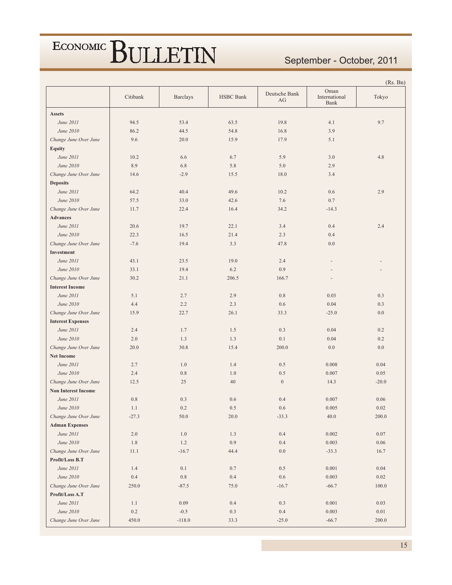#### September - October, 2011

|                            |          |                 |                  |                     |                               | (Rs. Bn)  |
|----------------------------|----------|-----------------|------------------|---------------------|-------------------------------|-----------|
|                            | Citibank | <b>Barclays</b> | <b>HSBC</b> Bank | Deutsche Bank<br>AG | Oman<br>International<br>Bank | Tokyo     |
| <b>Assets</b>              |          |                 |                  |                     |                               |           |
| June 2011                  | 94.5     | 53.4            | 63.5             | 19.8                | 4.1                           | 9.7       |
| June 2010                  | 86.2     | 44.5            | 54.8             | 16.8                | 3.9                           |           |
| Change June Over June      | 9.6      | 20.0            | 15.9             | 17.9                | 5.1                           |           |
| <b>Equity</b>              |          |                 |                  |                     |                               |           |
| June 2011                  | 10.2     | 6.6             | 6.7              | 5.9                 | 3.0                           | 4.8       |
| June 2010                  | 8.9      | 6.8             | 5.8              | 5.0                 | 2.9                           |           |
| Change June Over June      | 14.6     | $-2.9$          | 15.5             | 18.0                | 3.4                           |           |
| <b>Deposits</b>            |          |                 |                  |                     |                               |           |
| June 2011                  | 64.2     | 40.4            | 49.6             | 10.2                | 0.6                           | 2.9       |
| June 2010                  | 57.5     | 33.0            | 42.6             | 7.6                 | 0.7                           |           |
| Change June Over June      | 11.7     | 22.4            | 16.4             | 34.2                | $-14.3$                       |           |
| <b>Advances</b>            |          |                 |                  |                     |                               |           |
| June 2011                  | 20.6     | 19.7            | 22.1             | 3.4                 | 0.4                           | 2.4       |
| June 2010                  | 22.3     | 16.5            | 21.4             | 2.3                 | 0.4                           |           |
| Change June Over June      | $-7.6$   | 19.4            | 3.3              | 47.8                | 0.0                           |           |
| Investment                 |          |                 |                  |                     |                               |           |
| June 2011                  | 43.1     | 23.5            | 19.0             | 2.4                 |                               |           |
| June 2010                  | 33.1     | 19.4            | 6.2              | 0.9                 |                               |           |
| Change June Over June      | 30.2     | 21.1            | 206.5            | 166.7               |                               |           |
| <b>Interest Income</b>     |          |                 |                  |                     |                               |           |
| June 2011                  | 5.1      | 2.7             | 2.9              | $0.8\,$             | 0.03                          | 0.3       |
| June 2010                  | 4.4      | 2.2             | 2.3              | 0.6                 | 0.04                          | 0.3       |
| Change June Over June      | 15.9     | 22.7            | 26.1             | 33.3                | $-25.0$                       | 0.0       |
| <b>Interest Expenses</b>   |          |                 |                  |                     |                               |           |
| June 2011                  | 2.4      | 1.7             | 1.5              | 0.3                 | 0.04                          | 0.2       |
| June 2010                  | 2.0      | 1.3             | 1.3              | 0.1                 | 0.04                          | 0.2       |
| Change June Over June      | 20.0     | 30.8            | 15.4             | 200.0               | 0.0                           | $0.0\,$   |
| <b>Net Income</b>          |          |                 |                  |                     |                               |           |
| June 2011                  | 2.7      | 1.0             | 1.4              | 0.5                 | 0.008                         | 0.04      |
| June 2010                  | 2.4      | 0.8             | 1.0              | 0.5                 | 0.007                         | 0.05      |
| Change June Over June      | 12.5     | 25              | 40               | $\mathbf{0}$        | 14.3                          | $-20.0$   |
| <b>Non Interest Income</b> |          |                 |                  |                     |                               |           |
| June 2011                  | $0.8\,$  | 0.3             | 0.6              | 0.4                 | 0.007                         | 0.06      |
| June 2010                  | 1.1      | 0.2             | 0.5              | 0.6                 | 0.005                         | 0.02      |
| Change June Over June      | $-27.3$  | 50.0            | $20.0\,$         | $-33.3$             | 40.0                          | 200.0     |
| <b>Adman Expenses</b>      |          |                 |                  |                     |                               |           |
| June 2011                  | $2.0\,$  | $1.0\,$         | 1.3              | $0.4\,$             | 0.002                         | $0.07\,$  |
| June 2010                  | $1.8\,$  | $1.2$           | 0.9              | 0.4                 | 0.003                         | $0.06\,$  |
| Change June Over June      | 11.1     | $-16.7$         | 44.4             | $0.0\,$             | $-33.3$                       | 16.7      |
| Profit/Loss B.T            |          |                 |                  |                     |                               |           |
| June 2011                  | 1.4      | 0.1             | 0.7              | $0.5\,$             | 0.001                         | 0.04      |
| June 2010                  | 0.4      | $0.8\,$         | 0.4              | 0.6                 | 0.003                         | 0.02      |
| Change June Over June      | 250.0    | $-87.5$         | 75.0             | $-16.7$             | $-66.7$                       | $100.0\,$ |
| Profit/Loss A.T            |          |                 |                  |                     |                               |           |
| June 2011                  | $1.1\,$  | 0.09            | $0.4\,$          | 0.3                 | 0.001                         | 0.03      |
| June 2010                  | $0.2\,$  | $-0.5$          | 0.3              | 0.4                 | 0.003                         | $0.01\,$  |
| Change June Over June      | 450.0    | $-118.0$        | 33.3             | $-25.0$             | $-66.7$                       | 200.0     |
|                            |          |                 |                  |                     |                               |           |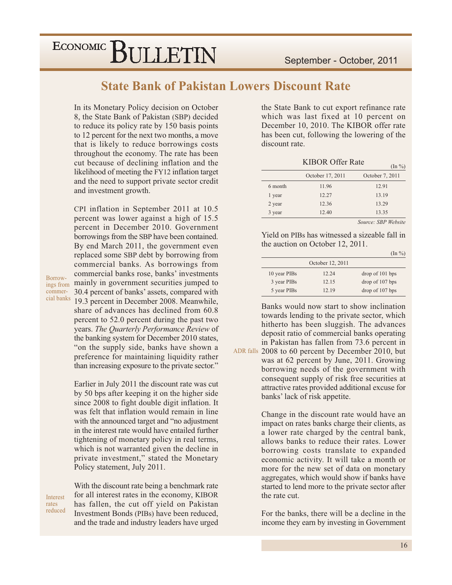**State Bank of Pakistan Lowers Discount Rate** 

In its Monetary Policy decision on October 8, the State Bank of Pakistan (SBP) decided to reduce its policy rate by 150 basis points to 12 percent for the next two months, a move that is likely to reduce borrowings costs throughout the economy. The rate has been cut because of declining inflation and the likelihood of meeting the FY12 inflation target and the need to support private sector credit and investment growth.

CPI inflation in September 2011 at 10.5 percent was lower against a high of 15.5 percent in December 2010. Government borrowings from the SBP have been contained. By end March 2011, the government even replaced some SBP debt by borrowing from commercial banks. As borrowings from commercial banks rose, banks' investments ings from mainly in government securities jumped to 30.4 percent of banks' assets, compared with 19.3 percent in December 2008. Meanwhile, share of advances has declined from 60.8 percent to 52.0 percent during the past two years. The Quarterly Performance Review of the banking system for December 2010 states, "on the supply side, banks have shown a preference for maintaining liquidity rather than increasing exposure to the private sector."

> Earlier in July 2011 the discount rate was cut by 50 bps after keeping it on the higher side since 2008 to fight double digit inflation. It was felt that inflation would remain in line with the announced target and "no adjustment" in the interest rate would have entailed further tightening of monetary policy in real terms, which is not warranted given the decline in private investment," stated the Monetary Policy statement, July 2011.

Interest rates reduced

Borrow-

commercial banks

> With the discount rate being a benchmark rate for all interest rates in the economy, KIBOR has fallen, the cut off yield on Pakistan Investment Bonds (PIBs) have been reduced, and the trade and industry leaders have urged

the State Bank to cut export refinance rate which was last fixed at 10 percent on December 10, 2010. The KIBOR offer rate has been cut, following the lowering of the discount rate.

**KIBOR Offer Rate** 

|         |                  | $(\ln \frac{\nu_0}{\nu})$ |
|---------|------------------|---------------------------|
|         | October 17, 2011 | October 7, 2011           |
| 6 month | 11.96            | 12.91                     |
| 1 year  | 12.27            | 13.19                     |
| 2 year  | 12.36            | 13.29                     |
| 3 year  | 12.40            | 13.35                     |

Source: SBP Website

Yield on PIBs has witnessed a sizeable fall in the auction on October 12, 2011.

 $(\text{In } \%)$ 

|              | October 12, 2011 |                 |
|--------------|------------------|-----------------|
| 10 year PIBs | 12.24            | drop of 101 bps |
| 3 year PIBs  | 12.15            | drop of 107 bps |
| 5 year PIBs  | 12.19            | drop of 107 bps |

Banks would now start to show inclination towards lending to the private sector, which hitherto has been sluggish. The advances deposit ratio of commercial banks operating in Pakistan has fallen from 73.6 percent in

ADR falls 2008 to 60 percent by December 2010, but was at 62 percent by June, 2011. Growing borrowing needs of the government with consequent supply of risk free securities at attractive rates provided additional excuse for banks' lack of risk appetite.

> Change in the discount rate would have an impact on rates banks charge their clients, as a lower rate charged by the central bank, allows banks to reduce their rates. Lower borrowing costs translate to expanded economic activity. It will take a month or more for the new set of data on monetary aggregates, which would show if banks have started to lend more to the private sector after the rate cut.

> For the banks, there will be a decline in the income they earn by investing in Government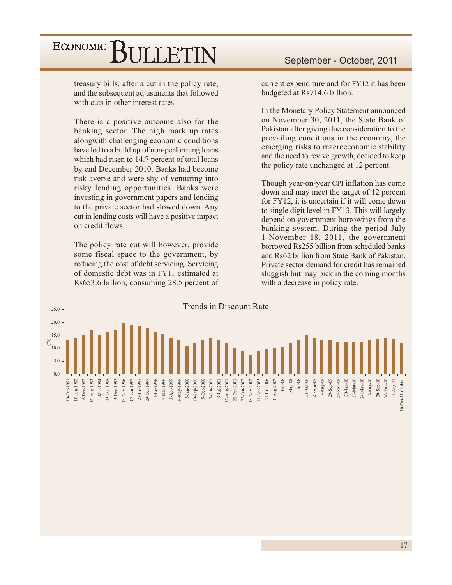treasury bills, after a cut in the policy rate, and the subsequent adjustments that followed with cuts in other interest rates.

There is a positive outcome also for the banking sector. The high mark up rates alongwith challenging economic conditions have led to a build up of non-performing loans which had risen to 14.7 percent of total loans by end December 2010. Banks had become risk averse and were shy of venturing into risky lending opportunities. Banks were investing in government papers and lending to the private sector had slowed down. Any cut in lending costs will have a positive impact on credit flows.

The policy rate cut will however, provide some fiscal space to the government, by reducing the cost of debt servicing. Servicing of domestic debt was in FY11 estimated at Rs653.6 billion, consuming 28.5 percent of current expenditure and for FY12 it has been budgeted at Rs714.6 billion.

In the Monetary Policy Statement announced on November 30, 2011, the State Bank of Pakistan after giving due consideration to the prevailing conditions in the economy, the emerging risks to macroeconomic stability and the need to revive growth, decided to keep the policy rate unchanged at 12 percent.

Though year-on-year CPI inflation has come down and may meet the target of 12 percent for FY12, it is uncertain if it will come down to single digit level in FY13. This will largely depend on government borrowings from the banking system. During the period July 1-November 18, 2011, the government borrowed Rs255 billion from scheduled banks and Rs62 billion from State Bank of Pakistan. Private sector demand for credit has remained sluggish but may pick in the coming months with a decrease in policy rate.

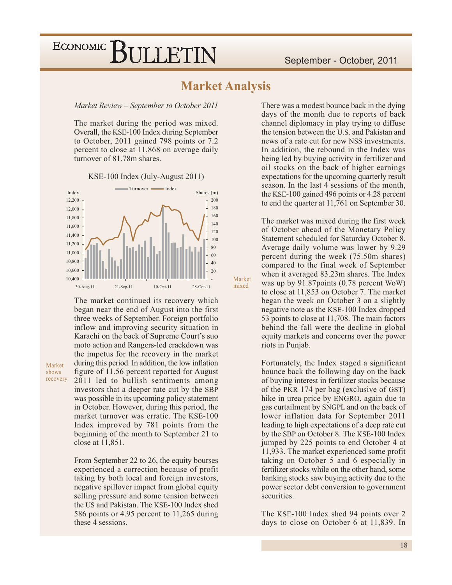### **Market Analysis**

Market

mixed

Market Review - September to October 2011

The market during the period was mixed. Overall, the KSE-100 Index during September to October, 2011 gained 798 points or 7.2 percent to close at 11,868 on average daily turnover of 81.78m shares.

KSE-100 Index (July-August 2011)



The market continued its recovery which began near the end of August into the first three weeks of September. Foreign portfolio inflow and improving security situation in Karachi on the back of Supreme Court's suo moto action and Rangers-led crackdown was the impetus for the recovery in the market during this period. In addition, the low inflation figure of 11.56 percent reported for August 2011 led to bullish sentiments among investors that a deeper rate cut by the SBP was possible in its upcoming policy statement in October. However, during this period, the market turnover was erratic. The KSE-100 Index improved by 781 points from the beginning of the month to September 21 to close at 11,851.

Market

shows recovery

> From September 22 to 26, the equity bourses experienced a correction because of profit taking by both local and foreign investors, negative spillover impact from global equity selling pressure and some tension between the US and Pakistan. The KSE-100 Index shed 586 points or 4.95 percent to 11,265 during these 4 sessions.

There was a modest bounce back in the dying days of the month due to reports of back channel diplomacy in play trying to diffuse the tension between the U.S. and Pakistan and news of a rate cut for new NSS investments. In addition, the rebound in the Index was being led by buying activity in fertilizer and oil stocks on the back of higher earnings expectations for the upcoming quarterly result season. In the last 4 sessions of the month, the KSE-100 gained 496 points or 4.28 percent to end the quarter at 11,761 on September 30.

The market was mixed during the first week of October ahead of the Monetary Policy Statement scheduled for Saturday October 8. Average daily volume was lower by 9.29 percent during the week (75.50m shares) compared to the final week of September when it averaged 83.23m shares. The Index was up by 91.87 points (0.78 percent WoW) to close at 11,853 on October 7. The market began the week on October 3 on a slightly negative note as the KSE-100 Index dropped 53 points to close at 11,708. The main factors behind the fall were the decline in global equity markets and concerns over the power riots in Punjab.

Fortunately, the Index staged a significant bounce back the following day on the back of buying interest in fertilizer stocks because of the PKR 174 per bag (exclusive of GST) hike in urea price by ENGRO, again due to gas curtailment by SNGPL and on the back of lower inflation data for September 2011 leading to high expectations of a deep rate cut by the SBP on October 8. The KSE-100 Index jumped by 225 points to end October 4 at 11,933. The market experienced some profit taking on October 5 and 6 especially in fertilizer stocks while on the other hand, some banking stocks saw buying activity due to the power sector debt conversion to government securities.

The KSE-100 Index shed 94 points over 2 days to close on October 6 at 11,839. In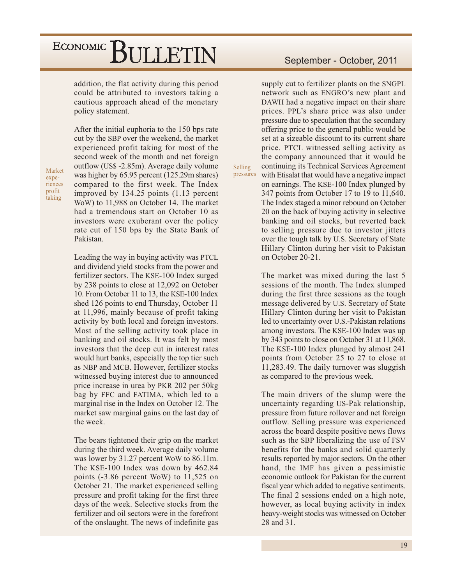addition, the flat activity during this period could be attributed to investors taking a cautious approach ahead of the monetary policy statement.

Market experiences profit taking

After the initial euphoria to the 150 bps rate cut by the SBP over the weekend, the market experienced profit taking for most of the second week of the month and net foreign outflow (US\$ -2.85m). Average daily volume was higher by 65.95 percent (125.29m shares) compared to the first week. The Index improved by 134.25 points (1.13 percent WoW) to 11,988 on October 14. The market had a tremendous start on October 10 as investors were exuberant over the policy rate cut of 150 bps by the State Bank of Pakistan.

Leading the way in buying activity was PTCL and dividend yield stocks from the power and fertilizer sectors. The KSE-100 Index surged by 238 points to close at 12,092 on October 10. From October 11 to 13, the KSE-100 Index shed 126 points to end Thursday, October 11 at 11,996, mainly because of profit taking activity by both local and foreign investors. Most of the selling activity took place in banking and oil stocks. It was felt by most investors that the deep cut in interest rates would hurt banks, especially the top tier such as NBP and MCB. However, fertilizer stocks witnessed buying interest due to announced price increase in urea by PKR 202 per 50kg bag by FFC and FATIMA, which led to a marginal rise in the Index on October 12. The market saw marginal gains on the last day of the week.

The bears tightened their grip on the market during the third week. Average daily volume was lower by 31.27 percent WoW to 86.11m. The KSE-100 Index was down by 462.84 points  $(-3.86$  percent WoW) to 11,525 on October 21. The market experienced selling pressure and profit taking for the first three days of the week. Selective stocks from the fertilizer and oil sectors were in the forefront of the onslaught. The news of indefinite gas

#### September - October, 2011

supply cut to fertilizer plants on the SNGPL network such as ENGRO's new plant and DAWH had a negative impact on their share prices. PPL's share price was also under pressure due to speculation that the secondary offering price to the general public would be set at a sizeable discount to its current share price. PTCL witnessed selling activity as the company announced that it would be continuing its Technical Services Agreement with Etisalat that would have a negative impact on earnings. The KSE-100 Index plunged by 347 points from October 17 to 19 to 11,640. The Index staged a minor rebound on October 20 on the back of buying activity in selective banking and oil stocks, but reverted back to selling pressure due to investor jitters over the tough talk by U.S. Secretary of State Hillary Clinton during her visit to Pakistan

Selling

pressures

The market was mixed during the last 5 sessions of the month. The Index slumped during the first three sessions as the tough message delivered by U.S. Secretary of State Hillary Clinton during her visit to Pakistan led to uncertainty over U.S.-Pakistan relations among investors. The KSE-100 Index was up by 343 points to close on October 31 at 11,868. The KSE-100 Index plunged by almost 241 points from October 25 to 27 to close at 11,283.49. The daily turnover was sluggish as compared to the previous week.

on October 20-21.

The main drivers of the slump were the uncertainty regarding US-Pak relationship, pressure from future rollover and net foreign outflow. Selling pressure was experienced across the board despite positive news flows such as the SBP liberalizing the use of FSV benefits for the banks and solid quarterly results reported by major sectors. On the other hand, the IMF has given a pessimistic economic outlook for Pakistan for the current fiscal year which added to negative sentiments. The final 2 sessions ended on a high note, however, as local buying activity in index heavy-weight stocks was witnessed on October 28 and 31.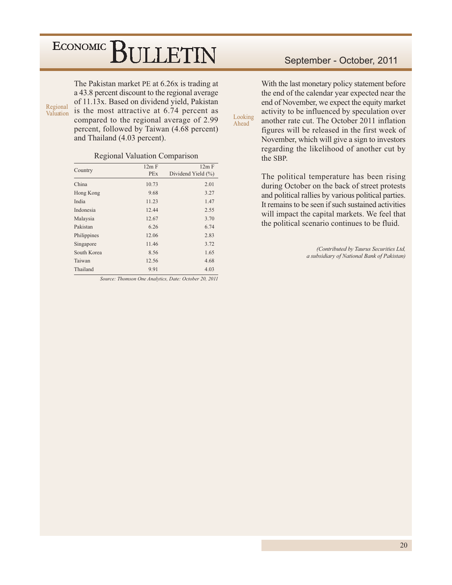The Pakistan market PE at 6.26x is trading at a 43.8 percent discount to the regional average of 11.13x. Based on dividend yield, Pakistan is the most attractive at 6.74 percent as compared to the regional average of 2.99 percent, followed by Taiwan (4.68 percent) and Thailand (4.03 percent).

Regional Valuation

#### **Regional Valuation Comparison**

| Country     | 12m F<br><b>PEx</b> | 12m F<br>Dividend Yield (%) |
|-------------|---------------------|-----------------------------|
|             |                     |                             |
| China       | 10.73               | 2.01                        |
| Hong Kong   | 9.68                | 3.27                        |
| India       | 11.23               | 1.47                        |
| Indonesia   | 12.44               | 2.55                        |
| Malaysia    | 12.67               | 3.70                        |
| Pakistan    | 6.26                | 6.74                        |
| Philippines | 12.06               | 2.83                        |
| Singapore   | 11.46               | 3.72                        |
| South Korea | 8.56                | 1.65                        |
| Taiwan      | 12.56               | 4.68                        |
| Thailand    | 9.91                | 4.03                        |

Source: Thomson One Analytics, Date: October 20, 2011

#### September - October, 2011

With the last monetary policy statement before the end of the calendar year expected near the end of November, we expect the equity market activity to be influenced by speculation over another rate cut. The October 2011 inflation figures will be released in the first week of November, which will give a sign to investors regarding the likelihood of another cut by the SBP.

Looking

Ahead

The political temperature has been rising during October on the back of street protests and political rallies by various political parties. It remains to be seen if such sustained activities will impact the capital markets. We feel that the political scenario continues to be fluid.

> (Contributed by Taurus Securities Ltd, a subsidiary of National Bank of Pakistan)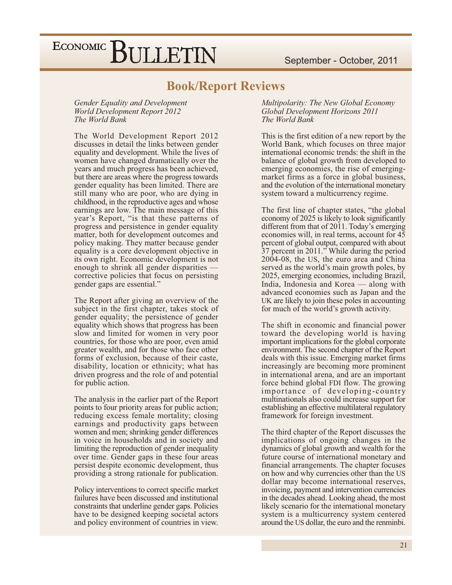### **Book/Report Reviews**

Gender Equality and Development **World Development Report 2012** The World Bank

The World Development Report 2012 discusses in detail the links between gender equality and development. While the lives of women have changed dramatically over the years and much progress has been achieved, but there are areas where the progress towards gender equality has been limited. There are still many who are poor, who are dying in childhood, in the reproductive ages and whose earnings are low. The main message of this year's Report, "is that these patterns of progress and persistence in gender equality matter, both for development outcomes and policy making. They matter because gender equality is a core development objective in its own right. Economic development is not enough to shrink all gender disparities corrective policies that focus on persisting gender gaps are essential."

The Report after giving an overview of the subject in the first chapter, takes stock of gender equality; the persistence of gender equality which shows that progress has been slow and limited for women in very poor countries, for those who are poor, even amid greater wealth, and for those who face other forms of exclusion, because of their caste, disability, location or ethnicity; what has driven progress and the role of and potential for public action.

The analysis in the earlier part of the Report points to four priority areas for public action; reducing excess female mortality; closing earnings and productivity gaps between women and men; shrinking gender differences in voice in households and in society and limiting the reproduction of gender inequality over time. Gender gaps in these four areas persist despite economic development, thus providing a strong rationale for publication.

Policy interventions to correct specific market failures have been discussed and institutional constraints that underline gender gaps. Policies have to be designed keeping societal actors and policy environment of countries in view. Multipolarity: The New Global Economy Global Development Horizons 2011 The World Bank

This is the first edition of a new report by the World Bank, which focuses on three major international economic trends: the shift in the balance of global growth from developed to emerging economies, the rise of emergingmarket firms as a force in global business, and the evolution of the international monetary system toward a multicurrency regime.

The first line of chapter states, "the global" economy of 2025 is likely to look significantly different from that of 2011. Today's emerging economies will, in real terms, account for 45 percent of global output, compared with about 37 percent in 2011." While during the period 2004-08, the US, the euro area and China served as the world's main growth poles, by 2025, emerging economies, including Brazil, India, Indonesia and Korea — along with advanced economies such as Japan and the UK are likely to join these poles in accounting for much of the world's growth activity.

The shift in economic and financial power toward the developing world is having important implications for the global corporate environment. The second chapter of the Report deals with this issue. Emerging market firms increasingly are becoming more prominent in international arena, and are an important force behind global FDI flow. The growing importance of developing-country multinationals also could increase support for establishing an effective multilateral regulatory framework for foreign investment.

The third chapter of the Report discusses the implications of ongoing changes in the dynamics of global growth and wealth for the future course of international monetary and financial arrangements. The chapter focuses on how and why currencies other than the US dollar may become international reserves, invoicing, payment and intervention currencies in the decades ahead. Looking ahead, the most likely scenario for the international monetary system is a multicurrency system centered around the US dollar, the euro and the renminbi.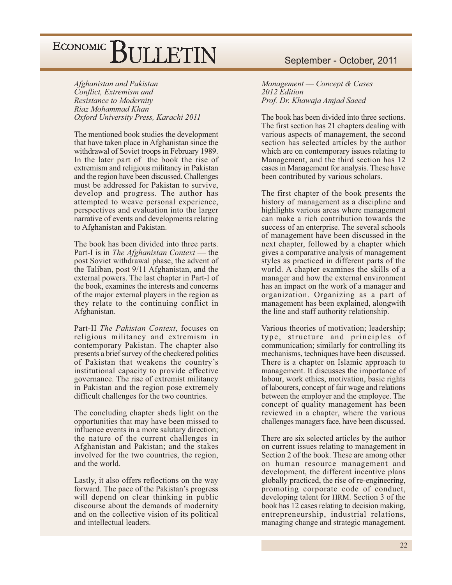Afghanistan and Pakistan Conflict, Extremism and Resistance to Modernity Riaz Mohammad Khan Oxford University Press, Karachi 2011

The mentioned book studies the development that have taken place in Afghanistan since the withdrawal of Soviet troops in February 1989. In the later part of the book the rise of extremism and religious militancy in Pakistan and the region have been discussed. Challenges must be addressed for Pakistan to survive, develop and progress. The author has attempted to weave personal experience, perspectives and evaluation into the larger narrative of events and developments relating to Afghanistan and Pakistan.

The book has been divided into three parts. Part-I is in The Afghanistan Context — the post Soviet withdrawal phase, the advent of the Taliban, post 9/11 Afghanistan, and the external powers. The last chapter in Part-I of the book, examines the interests and concerns of the major external players in the region as they relate to the continuing conflict in Afghanistan.

Part-II The Pakistan Context, focuses on religious militancy and extremism in contemporary Pakistan. The chapter also presents a brief survey of the checkered politics of Pakistan that weakens the country's institutional capacity to provide effective governance. The rise of extremist militancy in Pakistan and the region pose extremely difficult challenges for the two countries.

The concluding chapter sheds light on the opportunities that may have been missed to influence events in a more salutary direction; the nature of the current challenges in Afghanistan and Pakistan; and the stakes involved for the two countries, the region, and the world.

Lastly, it also offers reflections on the way forward. The pace of the Pakistan's progress will depend on clear thinking in public discourse about the demands of modernity and on the collective vision of its political and intellectual leaders.

#### September - October, 2011

Management — Concept & Cases 2012 Edition Prof. Dr. Khawaja Amjad Saeed

The book has been divided into three sections. The first section has 21 chapters dealing with various aspects of management, the second section has selected articles by the author which are on contemporary issues relating to Management, and the third section has 12 cases in Management for analysis. These have been contributed by various scholars.

The first chapter of the book presents the history of management as a discipline and highlights various areas where management can make a rich contribution towards the success of an enterprise. The several schools of management have been discussed in the next chapter, followed by a chapter which gives a comparative analysis of management styles as practiced in different parts of the world. A chapter examines the skills of a manager and how the external environment has an impact on the work of a manager and organization. Organizing as a part of management has been explained, alongwith the line and staff authority relationship.

Various theories of motivation; leadership; type, structure and principles of communication; similarly for controlling its mechanisms, techniques have been discussed. There is a chapter on Islamic approach to management. It discusses the importance of labour, work ethics, motivation, basic rights of labourers, concept of fair wage and relations between the employer and the employee. The concept of quality management has been reviewed in a chapter, where the various challenges managers face, have been discussed.

There are six selected articles by the author on current issues relating to management in Section 2 of the book. These are among other on human resource management and development, the different incentive plans globally practiced, the rise of re-engineering, promoting corporate code of conduct, developing talent for HRM. Section 3 of the book has 12 cases relating to decision making, entrepreneurship, industrial relations, managing change and strategic management.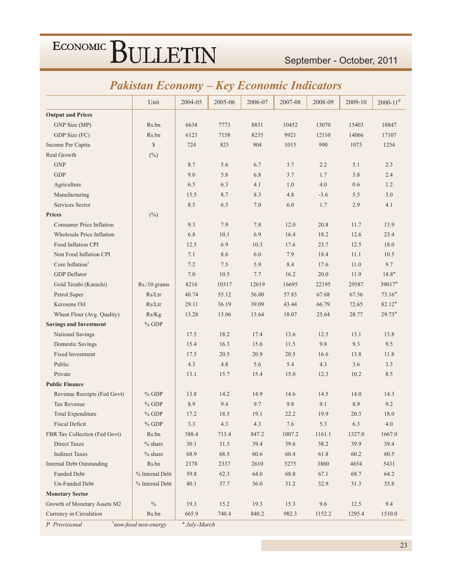#### September - October, 2011

### **Pakistan Economy – Key Economic Indicators**

| <b>Output and Prices</b><br>Rs.bn<br>6634<br>8831<br>13070<br>15403<br>GNP Size (MP)<br>7773<br>10452<br>6123<br>GDP Size (FC)<br>Rs.bn<br>7158<br>8235<br>9921<br>12110<br>14066<br>$\mathbb{S}$<br>990<br>Income Per Capita<br>724<br>823<br>904<br>1015<br>1073<br>Real Growth<br>$(\%)$<br><b>GNP</b><br>5.6<br>2.2<br>5.1<br>8.7<br>6.7<br>3.7<br>$\operatorname{GDP}$<br>5.8<br>6.8<br>1.7<br>3.8<br>9.0<br>3.7<br>Agriculture<br>6.3<br>4.1<br>1.0<br>4.0<br>0.6<br>6.5<br>Manufacturing<br>8.7<br>8.3<br>4.8<br>5.5<br>15.5<br>$-3.6$<br>Services Sector<br>8.5<br>6.5<br>7.0<br>6.0<br>1.7<br>2.9<br>$(\%)$<br><b>Prices</b><br><b>Consumer Price Inflation</b><br>9.3<br>7.9<br>7.8<br>12.0<br>20.8<br>11.7 | 18847<br>17107<br>1254<br>2.3<br>2.4<br>1.2<br>3.0<br>4.1<br>13.9<br>23.4<br>18.0<br>10.5<br>9.7 |
|-----------------------------------------------------------------------------------------------------------------------------------------------------------------------------------------------------------------------------------------------------------------------------------------------------------------------------------------------------------------------------------------------------------------------------------------------------------------------------------------------------------------------------------------------------------------------------------------------------------------------------------------------------------------------------------------------------------------------|--------------------------------------------------------------------------------------------------|
|                                                                                                                                                                                                                                                                                                                                                                                                                                                                                                                                                                                                                                                                                                                       |                                                                                                  |
|                                                                                                                                                                                                                                                                                                                                                                                                                                                                                                                                                                                                                                                                                                                       |                                                                                                  |
|                                                                                                                                                                                                                                                                                                                                                                                                                                                                                                                                                                                                                                                                                                                       |                                                                                                  |
|                                                                                                                                                                                                                                                                                                                                                                                                                                                                                                                                                                                                                                                                                                                       |                                                                                                  |
|                                                                                                                                                                                                                                                                                                                                                                                                                                                                                                                                                                                                                                                                                                                       |                                                                                                  |
|                                                                                                                                                                                                                                                                                                                                                                                                                                                                                                                                                                                                                                                                                                                       |                                                                                                  |
|                                                                                                                                                                                                                                                                                                                                                                                                                                                                                                                                                                                                                                                                                                                       |                                                                                                  |
|                                                                                                                                                                                                                                                                                                                                                                                                                                                                                                                                                                                                                                                                                                                       |                                                                                                  |
|                                                                                                                                                                                                                                                                                                                                                                                                                                                                                                                                                                                                                                                                                                                       |                                                                                                  |
|                                                                                                                                                                                                                                                                                                                                                                                                                                                                                                                                                                                                                                                                                                                       |                                                                                                  |
|                                                                                                                                                                                                                                                                                                                                                                                                                                                                                                                                                                                                                                                                                                                       |                                                                                                  |
|                                                                                                                                                                                                                                                                                                                                                                                                                                                                                                                                                                                                                                                                                                                       |                                                                                                  |
| 6.9<br>Wholesale Price Inflation<br>6.8<br>10.1<br>16.4<br>18.2<br>12.6                                                                                                                                                                                                                                                                                                                                                                                                                                                                                                                                                                                                                                               |                                                                                                  |
| Food Inflation CPI<br>6.9<br>23.7<br>12.5<br>12.5<br>10.3<br>17.6                                                                                                                                                                                                                                                                                                                                                                                                                                                                                                                                                                                                                                                     |                                                                                                  |
| Non Food Inflation CPI<br>8.6<br>6.0<br>7.9<br>18.4<br>11.1<br>7.1                                                                                                                                                                                                                                                                                                                                                                                                                                                                                                                                                                                                                                                    |                                                                                                  |
| Core Inflation <sup>†</sup><br>7.2<br>7.5<br>5.9<br>8.4<br>17.6<br>11.0                                                                                                                                                                                                                                                                                                                                                                                                                                                                                                                                                                                                                                               |                                                                                                  |
| <b>GDP</b> Deflator<br>20.0<br>7.0<br>10.5<br>7.7<br>16.2<br>11.9                                                                                                                                                                                                                                                                                                                                                                                                                                                                                                                                                                                                                                                     | $18.8*$                                                                                          |
| Gold Tezabi (Karachi)<br>8216<br>12619<br>16695<br>Rs./10 grams<br>10317<br>22195<br>29587                                                                                                                                                                                                                                                                                                                                                                                                                                                                                                                                                                                                                            | 39017*                                                                                           |
| Petrol Super<br>Rs/Ltr<br>40.74<br>55.12<br>56.00<br>57.83<br>67.68<br>67.56                                                                                                                                                                                                                                                                                                                                                                                                                                                                                                                                                                                                                                          | $73.16*$                                                                                         |
| Kerosene Oil<br>Rs/Ltr<br>29.11<br>36.19<br>39.09<br>43.44<br>66.79<br>72.65                                                                                                                                                                                                                                                                                                                                                                                                                                                                                                                                                                                                                                          | $82.12*$                                                                                         |
| Wheat Flour (Avg. Quality)<br>13.64<br>18.07<br>25.64<br>28.77<br>Rs/Kg<br>13.28<br>13.06                                                                                                                                                                                                                                                                                                                                                                                                                                                                                                                                                                                                                             | $29.73*$                                                                                         |
| <b>Savings and Investment</b><br>$%$ GDP                                                                                                                                                                                                                                                                                                                                                                                                                                                                                                                                                                                                                                                                              |                                                                                                  |
| National Savings<br>17.5<br>18.2<br>17.4<br>13.6<br>12.5<br>13.1                                                                                                                                                                                                                                                                                                                                                                                                                                                                                                                                                                                                                                                      | 13.8                                                                                             |
| 16.3<br>Domestic Savings<br>15.4<br>15.6<br>11.5<br>9.8<br>9.3                                                                                                                                                                                                                                                                                                                                                                                                                                                                                                                                                                                                                                                        | 9.5                                                                                              |
| Fixed Investment<br>20.5<br>20.9<br>20.5<br>16.6<br>13.8<br>17.5                                                                                                                                                                                                                                                                                                                                                                                                                                                                                                                                                                                                                                                      | 11.8                                                                                             |
| Public<br>4.3<br>4.8<br>5.6<br>5.4<br>4.3<br>3.6                                                                                                                                                                                                                                                                                                                                                                                                                                                                                                                                                                                                                                                                      | 3.3                                                                                              |
| Private<br>13.1<br>15.4<br>15.0<br>10.2<br>15.7<br>12.3                                                                                                                                                                                                                                                                                                                                                                                                                                                                                                                                                                                                                                                               | 8.5                                                                                              |
| <b>Public Finance</b>                                                                                                                                                                                                                                                                                                                                                                                                                                                                                                                                                                                                                                                                                                 |                                                                                                  |
| Revenue Receipts (Fed Govt)<br>$%$ GDP<br>14.2<br>14.5<br>13.8<br>14.9<br>14.6<br>14.0                                                                                                                                                                                                                                                                                                                                                                                                                                                                                                                                                                                                                                | 14.3                                                                                             |
| Tax Revenue<br>8.9<br>9.4<br>9.7<br>9.8<br>9.1<br>8.9<br>$%$ GDP                                                                                                                                                                                                                                                                                                                                                                                                                                                                                                                                                                                                                                                      | 9.2                                                                                              |
| <b>Total Expenditure</b><br>$%$ GDP<br>17.2<br>18.5<br>19.1<br>22.2<br>19.9<br>20.3                                                                                                                                                                                                                                                                                                                                                                                                                                                                                                                                                                                                                                   | 18.0                                                                                             |
| <b>Fiscal Deficit</b><br>$%$ GDP<br>3.3<br>4.3<br>4.3<br>7.6<br>5.3<br>6.3                                                                                                                                                                                                                                                                                                                                                                                                                                                                                                                                                                                                                                            | 4.0                                                                                              |
| 588.4<br>847.2<br>1007.2<br>1161.1<br>FBR Tax Collection (Fed Govt)<br>Rs.bn<br>713.4<br>1327.0                                                                                                                                                                                                                                                                                                                                                                                                                                                                                                                                                                                                                       | 1667.0                                                                                           |
| Direct Taxes<br>$%$ share<br>30.1<br>39.4<br>39.6<br>38.2<br>39.9<br>31.5                                                                                                                                                                                                                                                                                                                                                                                                                                                                                                                                                                                                                                             | 39.4                                                                                             |
| <b>Indirect Taxes</b><br>$%$ share<br>68.9<br>68.5<br>60.6<br>60.4<br>61.8<br>60.2                                                                                                                                                                                                                                                                                                                                                                                                                                                                                                                                                                                                                                    | 60.5                                                                                             |
| <b>Internal Debt Outstanding</b><br>Rs.bn<br>2178<br>2337<br>2610<br>3860<br>4654<br>3275                                                                                                                                                                                                                                                                                                                                                                                                                                                                                                                                                                                                                             | 5431                                                                                             |
| Funded Debt<br>% Internal Debt<br>59.8<br>62.3<br>64.0<br>68.8<br>67.1<br>68.7                                                                                                                                                                                                                                                                                                                                                                                                                                                                                                                                                                                                                                        | 64.2                                                                                             |
| Un-Funded Debt<br>40.1<br>% Internal Debt<br>37.7<br>36.0<br>31.2<br>32.9<br>31.3                                                                                                                                                                                                                                                                                                                                                                                                                                                                                                                                                                                                                                     | 35.8                                                                                             |
| <b>Monetary Sector</b>                                                                                                                                                                                                                                                                                                                                                                                                                                                                                                                                                                                                                                                                                                |                                                                                                  |
| Growth of Monetary Assets M2<br>$\%$<br>15.2<br>19.3<br>9.6<br>19.3<br>15.3<br>12.5                                                                                                                                                                                                                                                                                                                                                                                                                                                                                                                                                                                                                                   | 9.4                                                                                              |
| Currency in Circulation<br>740.4<br>840.2<br>982.3<br>1295.4<br>Rs.bn<br>665.9<br>1152.2                                                                                                                                                                                                                                                                                                                                                                                                                                                                                                                                                                                                                              | 1510.0                                                                                           |

*P Provisional* 

*M*inon-food non-energy  $\qquad$  \* July-March